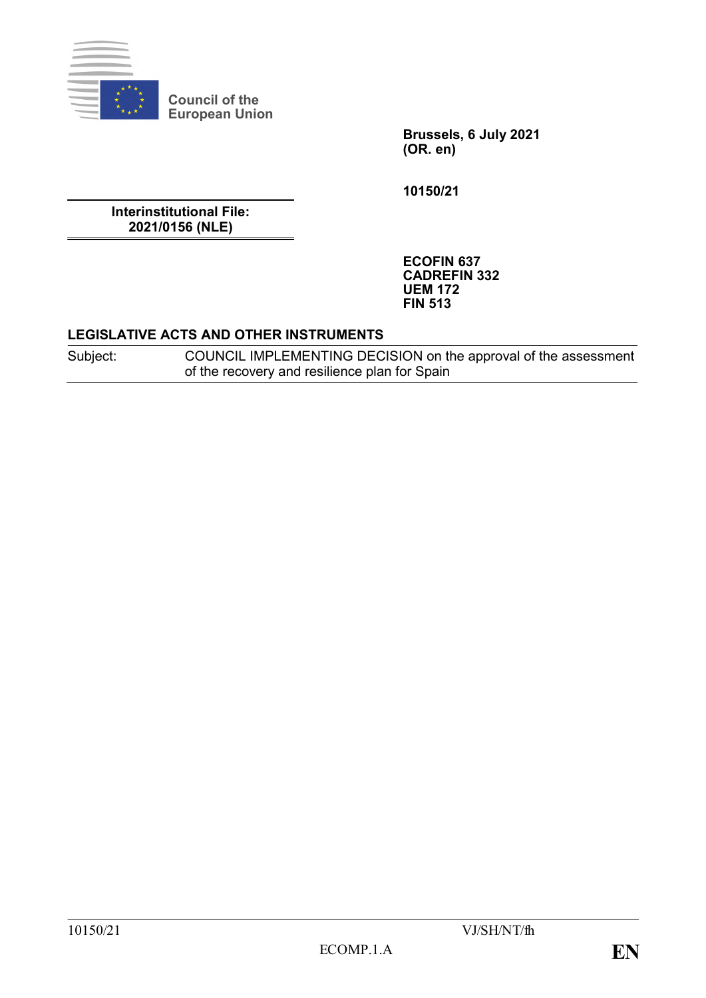

**Council of the European Union**

> **Brussels, 6 July 2021 (OR. en)**

**10150/21**

**Interinstitutional File: 2021/0156 (NLE)**

> **ECOFIN 637 CADREFIN 332 UEM 172 FIN 513**

## **LEGISLATIVE ACTS AND OTHER INSTRUMENTS**

Subject: COUNCIL IMPLEMENTING DECISION on the approval of the assessment of the recovery and resilience plan for Spain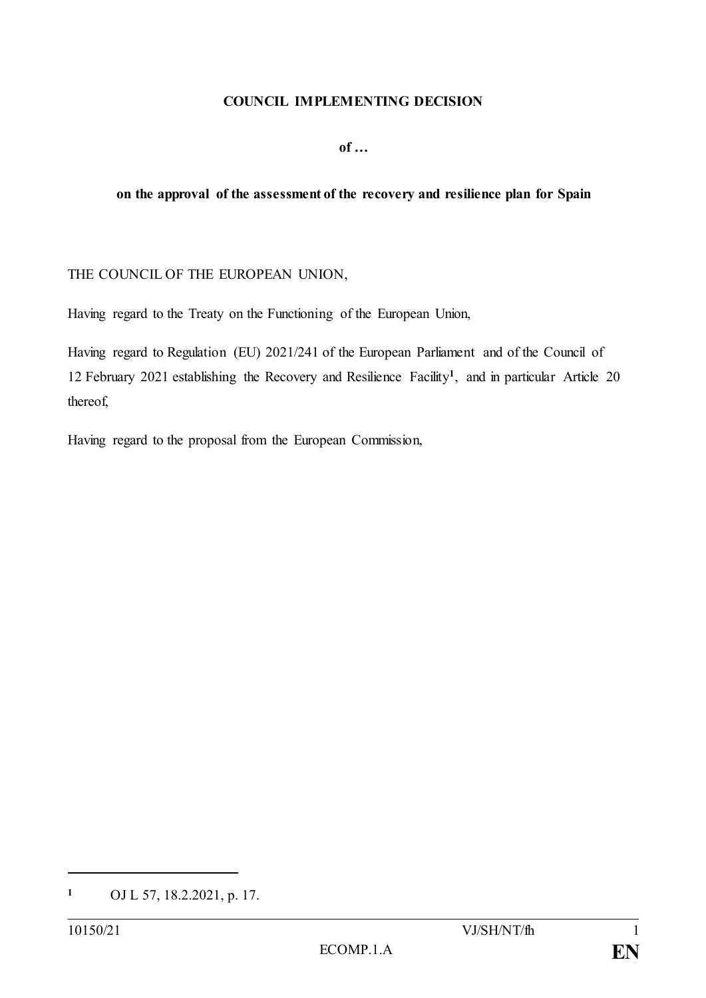#### **COUNCIL IMPLEMENTING DECISION**

**of …**

#### **on the approval of the assessment of the recovery and resilience plan for Spain**

#### THE COUNCIL OF THE EUROPEAN UNION,

Having regard to the Treaty on the Functioning of the European Union,

Having regard to Regulation (EU) 2021/241 of the European Parliament and of the Council of 12 February 2021 establishing the Recovery and Resilience Facility**<sup>1</sup>** , and in particular Article 20 thereof,

Having regard to the proposal from the European Commission,

**<sup>1</sup>** OJ L 57, 18.2.2021, p. 17.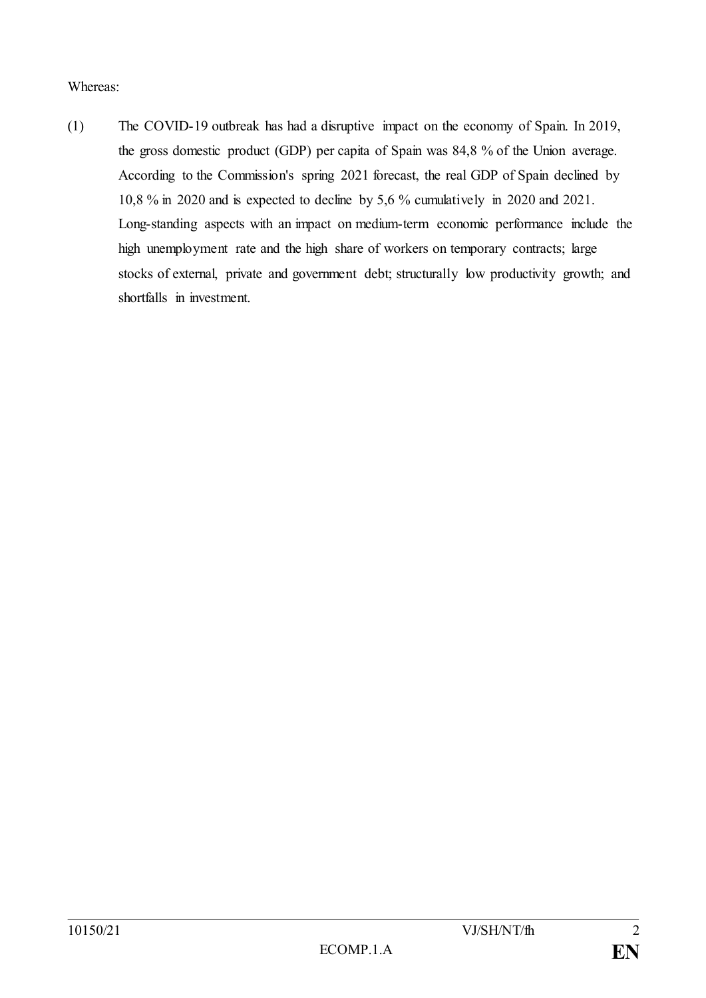Whereas:

(1) The COVID-19 outbreak has had a disruptive impact on the economy of Spain. In 2019, the gross domestic product (GDP) per capita of Spain was 84,8 % of the Union average. According to the Commission's spring 2021 forecast, the real GDP of Spain declined by 10,8 % in 2020 and is expected to decline by 5,6 % cumulatively in 2020 and 2021. Long-standing aspects with an impact on medium-term economic performance include the high unemployment rate and the high share of workers on temporary contracts; large stocks of external, private and government debt; structurally low productivity growth; and shortfalls in investment.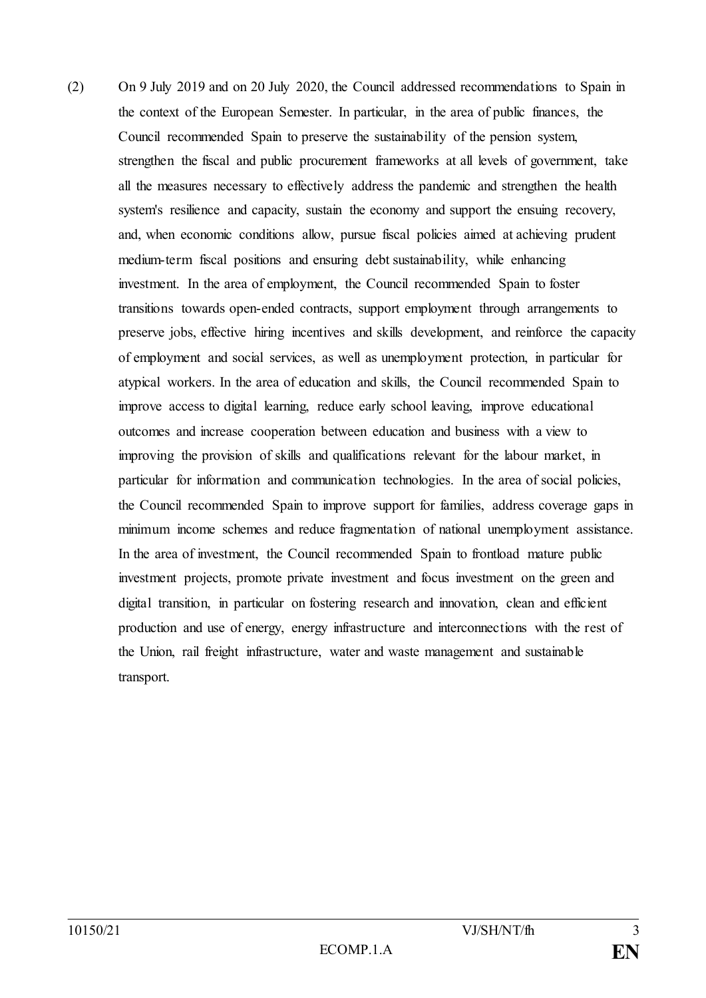(2) On 9 July 2019 and on 20 July 2020, the Council addressed recommendations to Spain in the context of the European Semester. In particular, in the area of public finances, the Council recommended Spain to preserve the sustainability of the pension system, strengthen the fiscal and public procurement frameworks at all levels of government, take all the measures necessary to effectively address the pandemic and strengthen the health system's resilience and capacity, sustain the economy and support the ensuing recovery, and, when economic conditions allow, pursue fiscal policies aimed at achieving prudent medium-term fiscal positions and ensuring debt sustainability, while enhancing investment. In the area of employment, the Council recommended Spain to foster transitions towards open-ended contracts, support employment through arrangements to preserve jobs, effective hiring incentives and skills development, and reinforce the capacity of employment and social services, as well as unemployment protection, in particular for atypical workers. In the area of education and skills, the Council recommended Spain to improve access to digital learning, reduce early school leaving, improve educational outcomes and increase cooperation between education and business with a view to improving the provision of skills and qualifications relevant for the labour market, in particular for information and communication technologies. In the area of social policies, the Council recommended Spain to improve support for families, address coverage gaps in minimum income schemes and reduce fragmentation of national unemployment assistance. In the area of investment, the Council recommended Spain to frontload mature public investment projects, promote private investment and focus investment on the green and digital transition, in particular on fostering research and innovation, clean and efficient production and use of energy, energy infrastructure and interconnections with the rest of the Union, rail freight infrastructure, water and waste management and sustainable transport.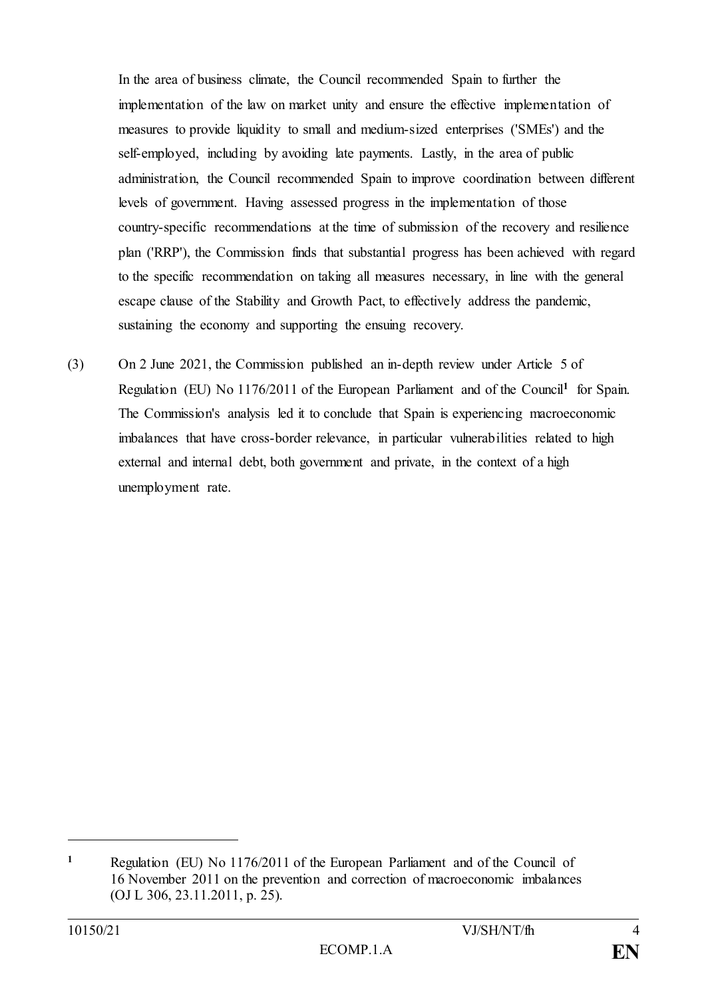In the area of business climate, the Council recommended Spain to further the implementation of the law on market unity and ensure the effective implementation of measures to provide liquidity to small and medium-sized enterprises ('SMEs') and the self-employed, including by avoiding late payments. Lastly, in the area of public administration, the Council recommended Spain to improve coordination between different levels of government. Having assessed progress in the implementation of those country-specific recommendations at the time of submission of the recovery and resilience plan ('RRP'), the Commission finds that substantial progress has been achieved with regard to the specific recommendation on taking all measures necessary, in line with the general escape clause of the Stability and Growth Pact, to effectively address the pandemic, sustaining the economy and supporting the ensuing recovery.

(3) On 2 June 2021, the Commission published an in-depth review under Article 5 of Regulation (EU) No 1176/2011 of the European Parliament and of the Council<sup>1</sup> for Spain. The Commission's analysis led it to conclude that Spain is experiencing macroeconomic imbalances that have cross-border relevance, in particular vulnerabilities related to high external and internal debt, both government and private, in the context of a high unemployment rate.

**<sup>1</sup>** Regulation (EU) No 1176/2011 of the European Parliament and of the Council of 16 November 2011 on the prevention and correction of macroeconomic imbalances (OJ L 306, 23.11.2011, p. 25).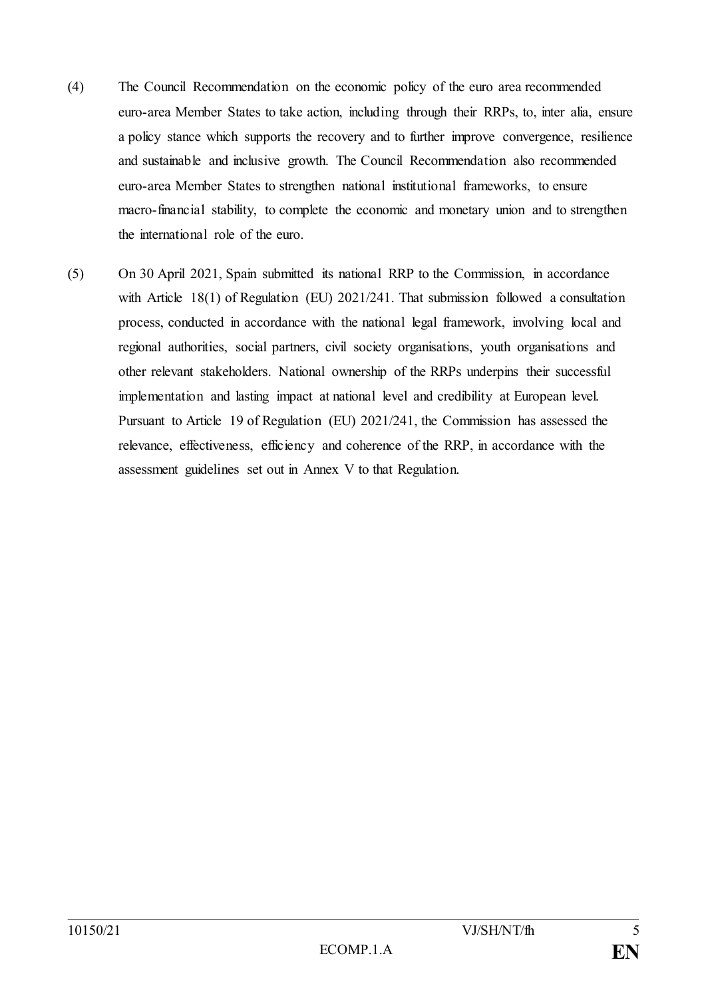- (4) The Council Recommendation on the economic policy of the euro area recommended euro-area Member States to take action, including through their RRPs, to, inter alia, ensure a policy stance which supports the recovery and to further improve convergence, resilience and sustainable and inclusive growth. The Council Recommendation also recommended euro-area Member States to strengthen national institutional frameworks, to ensure macro-financial stability, to complete the economic and monetary union and to strengthen the international role of the euro.
- (5) On 30 April 2021, Spain submitted its national RRP to the Commission, in accordance with Article 18(1) of Regulation (EU) 2021/241. That submission followed a consultation process, conducted in accordance with the national legal framework, involving local and regional authorities, social partners, civil society organisations, youth organisations and other relevant stakeholders. National ownership of the RRPs underpins their successful implementation and lasting impact at national level and credibility at European level. Pursuant to Article 19 of Regulation (EU) 2021/241, the Commission has assessed the relevance, effectiveness, efficiency and coherence of the RRP, in accordance with the assessment guidelines set out in Annex V to that Regulation.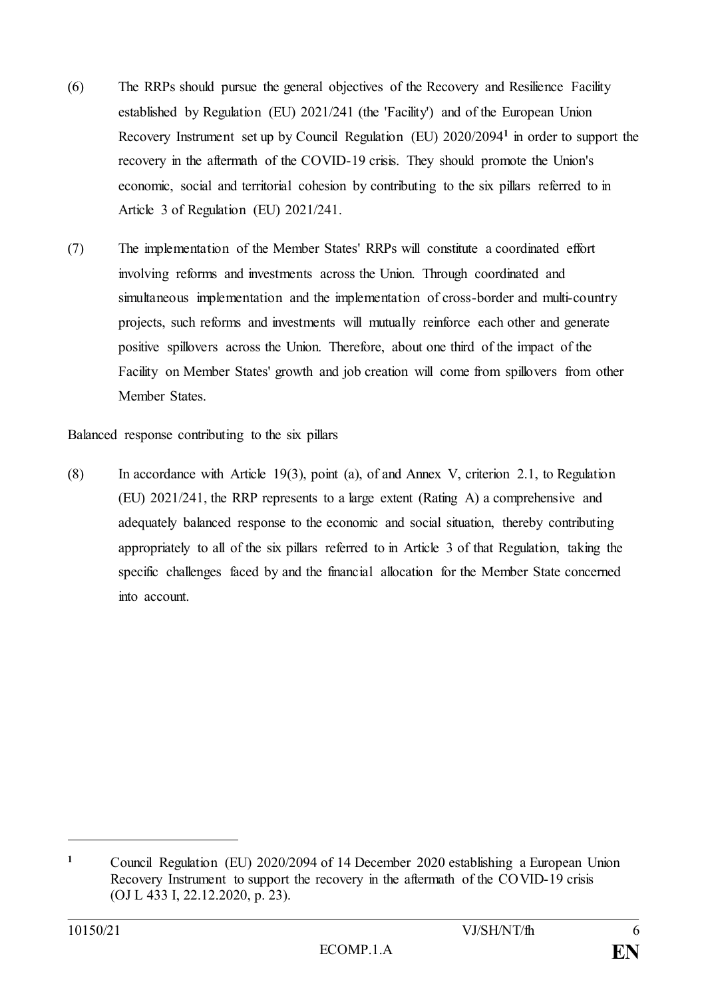- (6) The RRPs should pursue the general objectives of the Recovery and Resilience Facility established by Regulation (EU) 2021/241 (the 'Facility') and of the European Union Recovery Instrument set up by Council Regulation (EU) 2020/2094**<sup>1</sup>** in order to support the recovery in the aftermath of the COVID-19 crisis. They should promote the Union's economic, social and territorial cohesion by contributing to the six pillars referred to in Article 3 of Regulation (EU) 2021/241.
- (7) The implementation of the Member States' RRPs will constitute a coordinated effort involving reforms and investments across the Union. Through coordinated and simultaneous implementation and the implementation of cross-border and multi-country projects, such reforms and investments will mutually reinforce each other and generate positive spillovers across the Union. Therefore, about one third of the impact of the Facility on Member States' growth and job creation will come from spillovers from other Member States.

Balanced response contributing to the six pillars

(8) In accordance with Article 19(3), point (a), of and Annex V, criterion 2.1, to Regulation (EU) 2021/241, the RRP represents to a large extent (Rating A) a comprehensive and adequately balanced response to the economic and social situation, thereby contributing appropriately to all of the six pillars referred to in Article 3 of that Regulation, taking the specific challenges faced by and the financial allocation for the Member State concerned into account.

**<sup>1</sup>** Council Regulation (EU) 2020/2094 of 14 December 2020 establishing a European Union Recovery Instrument to support the recovery in the aftermath of the COVID-19 crisis (OJ L 433 I, 22.12.2020, p. 23).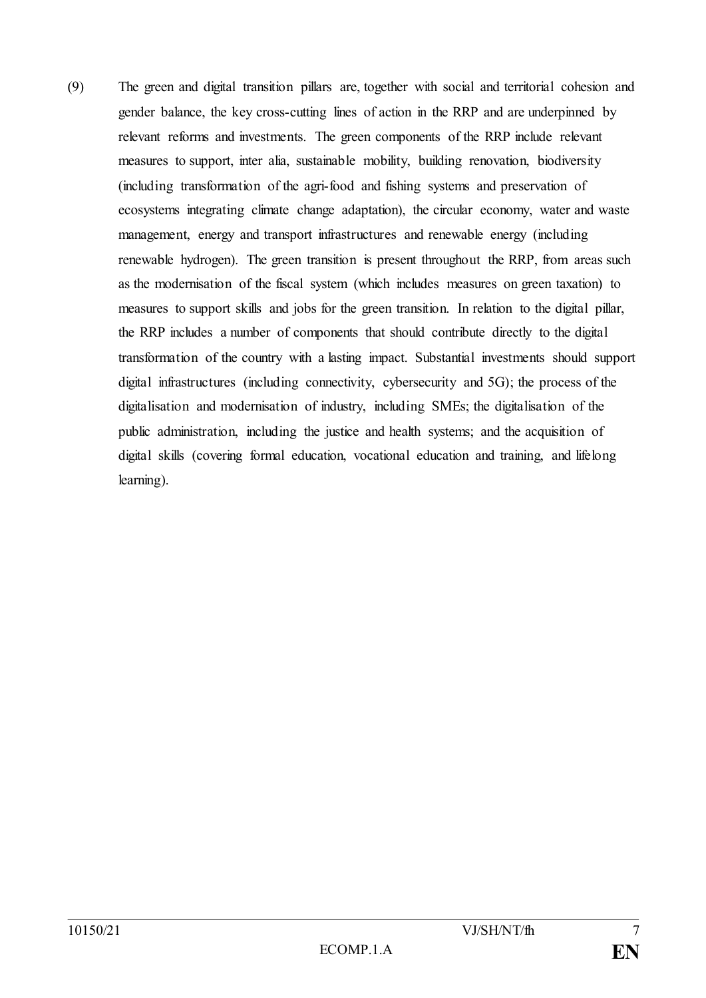(9) The green and digital transition pillars are, together with social and territorial cohesion and gender balance, the key cross-cutting lines of action in the RRP and are underpinned by relevant reforms and investments. The green components of the RRP include relevant measures to support, inter alia, sustainable mobility, building renovation, biodiversity (including transformation of the agri-food and fishing systems and preservation of ecosystems integrating climate change adaptation), the circular economy, water and waste management, energy and transport infrastructures and renewable energy (including renewable hydrogen). The green transition is present throughout the RRP, from areas such as the modernisation of the fiscal system (which includes measures on green taxation) to measures to support skills and jobs for the green transition. In relation to the digital pillar, the RRP includes a number of components that should contribute directly to the digital transformation of the country with a lasting impact. Substantial investments should support digital infrastructures (including connectivity, cybersecurity and 5G); the process of the digitalisation and modernisation of industry, including SMEs; the digitalisation of the public administration, including the justice and health systems; and the acquisition of digital skills (covering formal education, vocational education and training, and lifelong learning).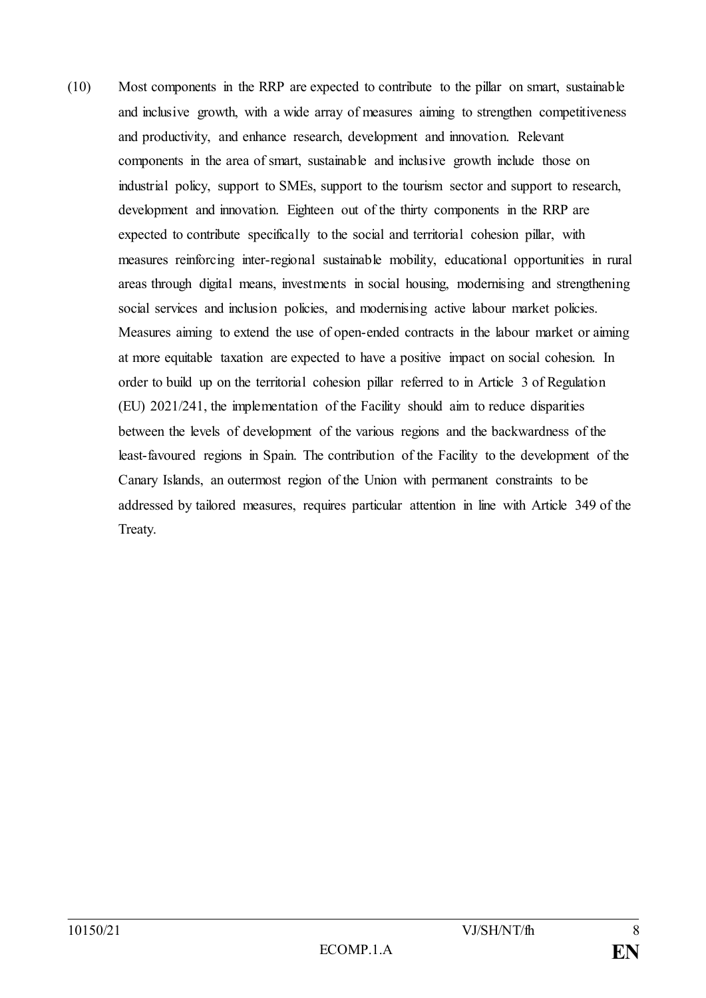(10) Most components in the RRP are expected to contribute to the pillar on smart, sustainable and inclusive growth, with a wide array of measures aiming to strengthen competitiveness and productivity, and enhance research, development and innovation. Relevant components in the area of smart, sustainable and inclusive growth include those on industrial policy, support to SMEs, support to the tourism sector and support to research, development and innovation. Eighteen out of the thirty components in the RRP are expected to contribute specifically to the social and territorial cohesion pillar, with measures reinforcing inter-regional sustainable mobility, educational opportunities in rural areas through digital means, investments in social housing, modernising and strengthening social services and inclusion policies, and modernising active labour market policies. Measures aiming to extend the use of open-ended contracts in the labour market or aiming at more equitable taxation are expected to have a positive impact on social cohesion. In order to build up on the territorial cohesion pillar referred to in Article 3 of Regulation (EU) 2021/241, the implementation of the Facility should aim to reduce disparities between the levels of development of the various regions and the backwardness of the least-favoured regions in Spain. The contribution of the Facility to the development of the Canary Islands, an outermost region of the Union with permanent constraints to be addressed by tailored measures, requires particular attention in line with Article 349 of the Treaty.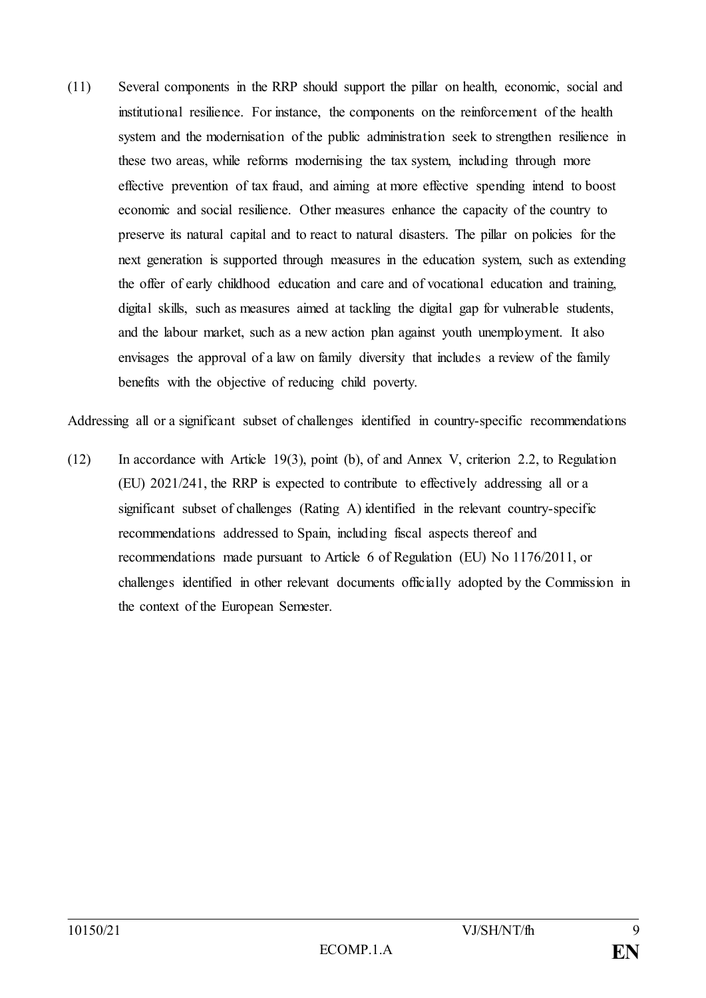(11) Several components in the RRP should support the pillar on health, economic, social and institutional resilience. For instance, the components on the reinforcement of the health system and the modernisation of the public administration seek to strengthen resilience in these two areas, while reforms modernising the tax system, including through more effective prevention of tax fraud, and aiming at more effective spending intend to boost economic and social resilience. Other measures enhance the capacity of the country to preserve its natural capital and to react to natural disasters. The pillar on policies for the next generation is supported through measures in the education system, such as extending the offer of early childhood education and care and of vocational education and training, digital skills, such as measures aimed at tackling the digital gap for vulnerable students, and the labour market, such as a new action plan against youth unemployment. It also envisages the approval of a law on family diversity that includes a review of the family benefits with the objective of reducing child poverty.

Addressing all or a significant subset of challenges identified in country-specific recommendations

(12) In accordance with Article 19(3), point (b), of and Annex V, criterion 2.2, to Regulation (EU) 2021/241, the RRP is expected to contribute to effectively addressing all or a significant subset of challenges (Rating A) identified in the relevant country-specific recommendations addressed to Spain, including fiscal aspects thereof and recommendations made pursuant to Article 6 of Regulation (EU) No 1176/2011, or challenges identified in other relevant documents officially adopted by the Commission in the context of the European Semester.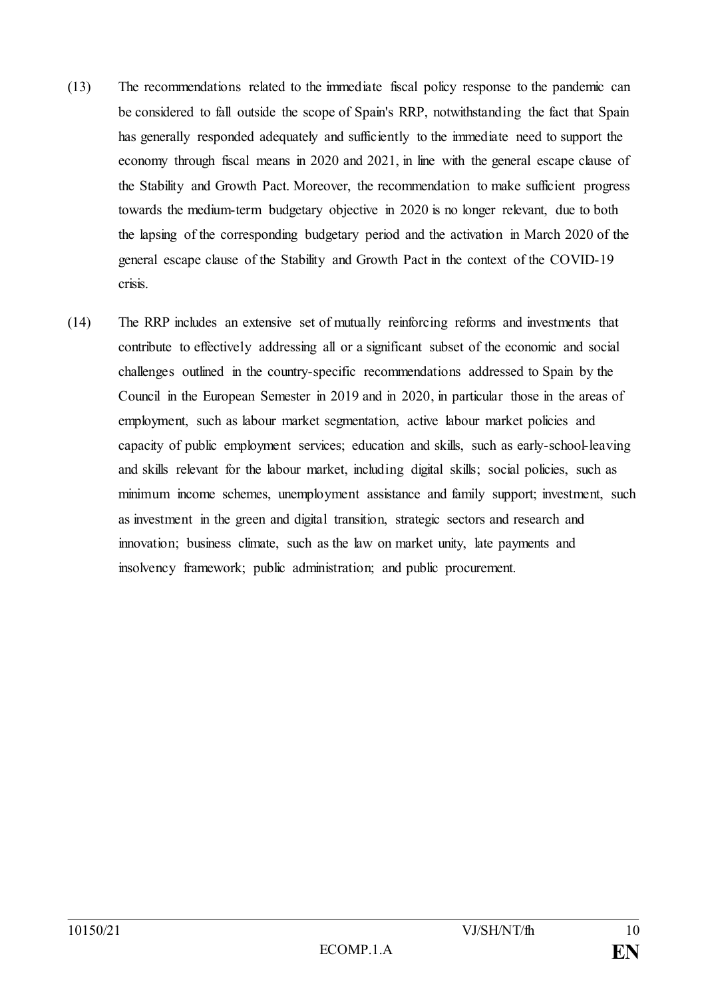- (13) The recommendations related to the immediate fiscal policy response to the pandemic can be considered to fall outside the scope of Spain's RRP, notwithstanding the fact that Spain has generally responded adequately and sufficiently to the immediate need to support the economy through fiscal means in 2020 and 2021, in line with the general escape clause of the Stability and Growth Pact. Moreover, the recommendation to make sufficient progress towards the medium-term budgetary objective in 2020 is no longer relevant, due to both the lapsing of the corresponding budgetary period and the activation in March 2020 of the general escape clause of the Stability and Growth Pact in the context of the COVID-19 crisis.
- (14) The RRP includes an extensive set of mutually reinforcing reforms and investments that contribute to effectively addressing all or a significant subset of the economic and social challenges outlined in the country-specific recommendations addressed to Spain by the Council in the European Semester in 2019 and in 2020, in particular those in the areas of employment, such as labour market segmentation, active labour market policies and capacity of public employment services; education and skills, such as early-school-leaving and skills relevant for the labour market, including digital skills; social policies, such as minimum income schemes, unemployment assistance and family support; investment, such as investment in the green and digital transition, strategic sectors and research and innovation; business climate, such as the law on market unity, late payments and insolvency framework; public administration; and public procurement.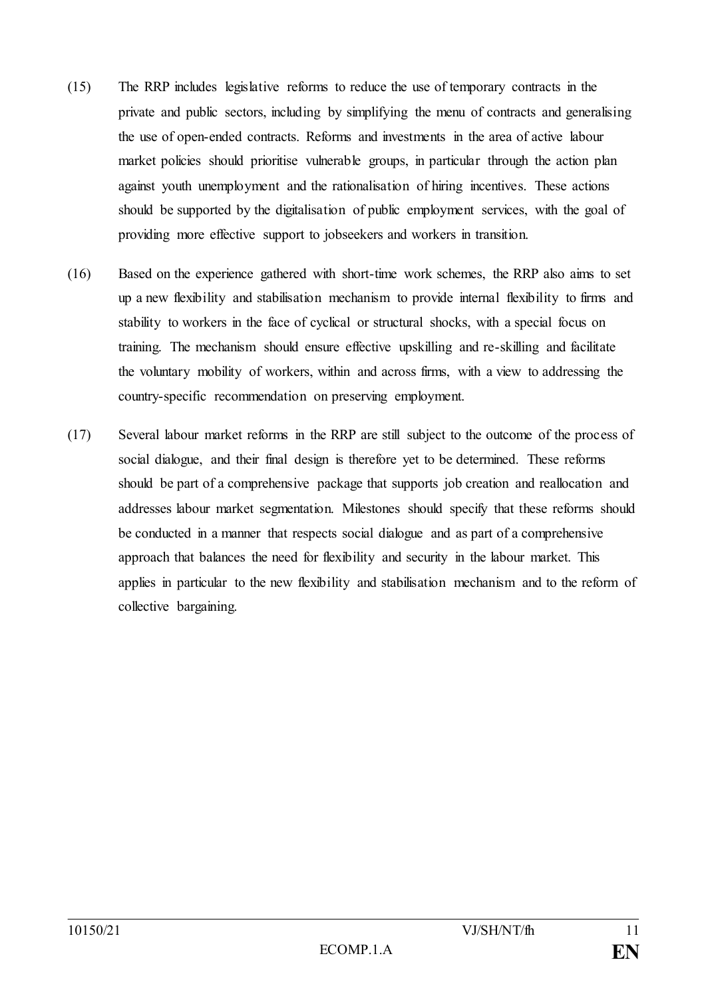- (15) The RRP includes legislative reforms to reduce the use of temporary contracts in the private and public sectors, including by simplifying the menu of contracts and generalising the use of open-ended contracts. Reforms and investments in the area of active labour market policies should prioritise vulnerable groups, in particular through the action plan against youth unemployment and the rationalisation of hiring incentives. These actions should be supported by the digitalisation of public employment services, with the goal of providing more effective support to jobseekers and workers in transition.
- (16) Based on the experience gathered with short-time work schemes, the RRP also aims to set up a new flexibility and stabilisation mechanism to provide internal flexibility to firms and stability to workers in the face of cyclical or structural shocks, with a special focus on training. The mechanism should ensure effective upskilling and re-skilling and facilitate the voluntary mobility of workers, within and across firms, with a view to addressing the country-specific recommendation on preserving employment.
- (17) Several labour market reforms in the RRP are still subject to the outcome of the process of social dialogue, and their final design is therefore yet to be determined. These reforms should be part of a comprehensive package that supports job creation and reallocation and addresses labour market segmentation. Milestones should specify that these reforms should be conducted in a manner that respects social dialogue and as part of a comprehensive approach that balances the need for flexibility and security in the labour market. This applies in particular to the new flexibility and stabilisation mechanism and to the reform of collective bargaining.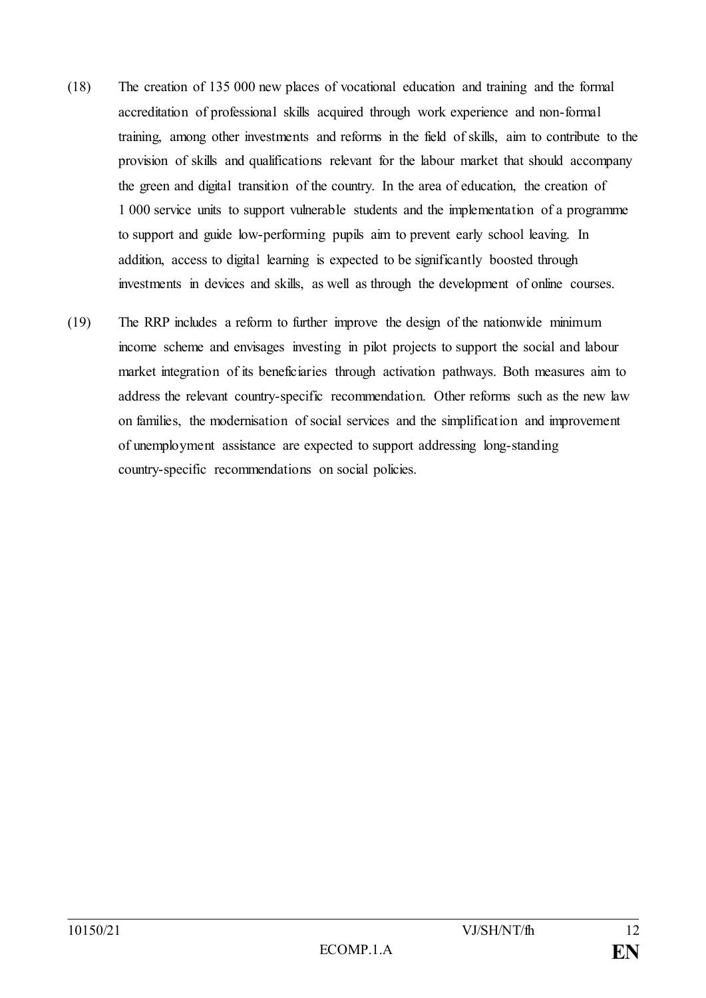- (18) The creation of 135 000 new places of vocational education and training and the formal accreditation of professional skills acquired through work experience and non-formal training, among other investments and reforms in the field of skills, aim to contribute to the provision of skills and qualifications relevant for the labour market that should accompany the green and digital transition of the country. In the area of education, the creation of 1 000 service units to support vulnerable students and the implementation of a programme to support and guide low-performing pupils aim to prevent early school leaving. In addition, access to digital learning is expected to be significantly boosted through investments in devices and skills, as well as through the development of online courses.
- (19) The RRP includes a reform to further improve the design of the nationwide minimum income scheme and envisages investing in pilot projects to support the social and labour market integration of its beneficiaries through activation pathways. Both measures aim to address the relevant country-specific recommendation. Other reforms such as the new law on families, the modernisation of social services and the simplification and improvement of unemployment assistance are expected to support addressing long-standing country-specific recommendations on social policies.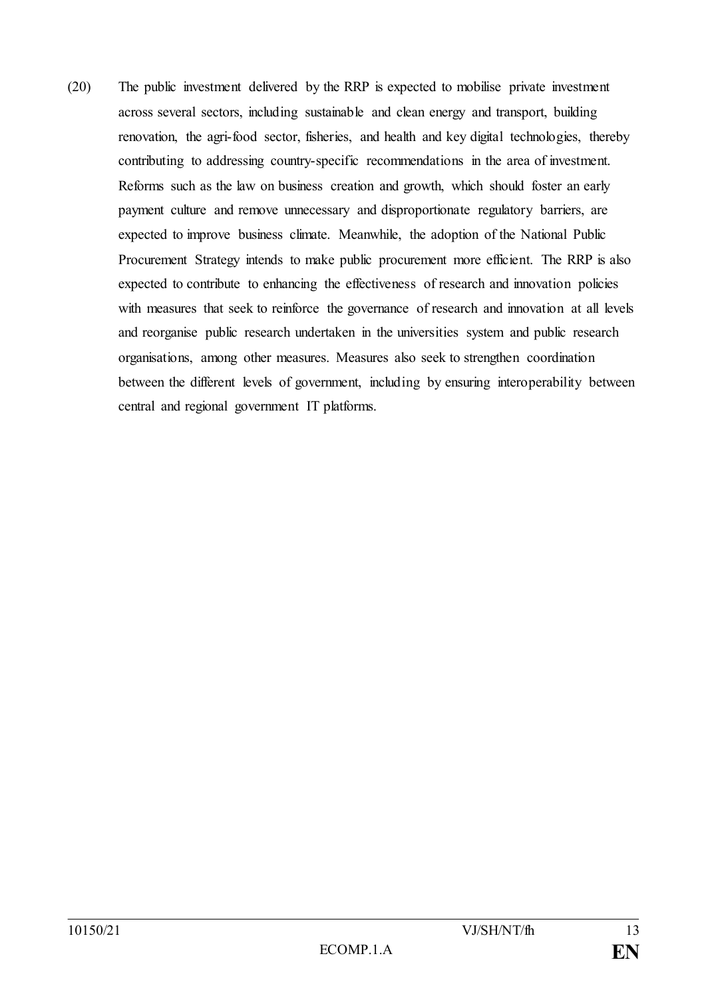(20) The public investment delivered by the RRP is expected to mobilise private investment across several sectors, including sustainable and clean energy and transport, building renovation, the agri-food sector, fisheries, and health and key digital technologies, thereby contributing to addressing country-specific recommendations in the area of investment. Reforms such as the law on business creation and growth, which should foster an early payment culture and remove unnecessary and disproportionate regulatory barriers, are expected to improve business climate. Meanwhile, the adoption of the National Public Procurement Strategy intends to make public procurement more efficient. The RRP is also expected to contribute to enhancing the effectiveness of research and innovation policies with measures that seek to reinforce the governance of research and innovation at all levels and reorganise public research undertaken in the universities system and public research organisations, among other measures. Measures also seek to strengthen coordination between the different levels of government, including by ensuring interoperability between central and regional government IT platforms.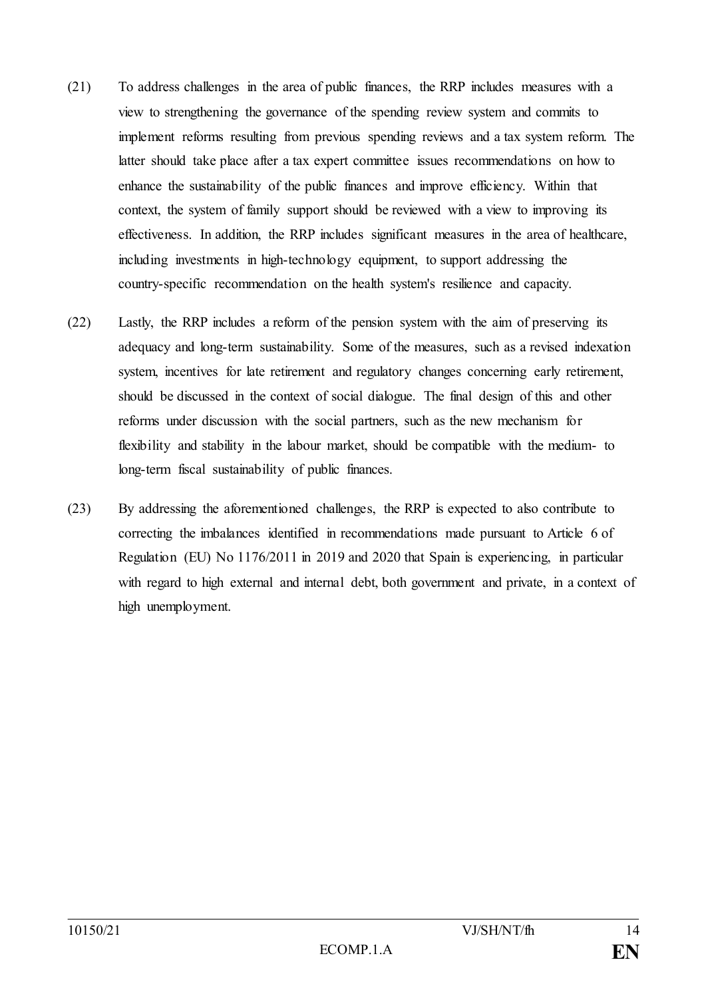- (21) To address challenges in the area of public finances, the RRP includes measures with a view to strengthening the governance of the spending review system and commits to implement reforms resulting from previous spending reviews and a tax system reform. The latter should take place after a tax expert committee issues recommendations on how to enhance the sustainability of the public finances and improve efficiency. Within that context, the system of family support should be reviewed with a view to improving its effectiveness. In addition, the RRP includes significant measures in the area of healthcare, including investments in high-technology equipment, to support addressing the country-specific recommendation on the health system's resilience and capacity.
- (22) Lastly, the RRP includes a reform of the pension system with the aim of preserving its adequacy and long-term sustainability. Some of the measures, such as a revised indexation system, incentives for late retirement and regulatory changes concerning early retirement, should be discussed in the context of social dialogue. The final design of this and other reforms under discussion with the social partners, such as the new mechanism for flexibility and stability in the labour market, should be compatible with the medium- to long-term fiscal sustainability of public finances.
- (23) By addressing the aforementioned challenges, the RRP is expected to also contribute to correcting the imbalances identified in recommendations made pursuant to Article 6 of Regulation (EU) No 1176/2011 in 2019 and 2020 that Spain is experiencing, in particular with regard to high external and internal debt, both government and private, in a context of high unemployment.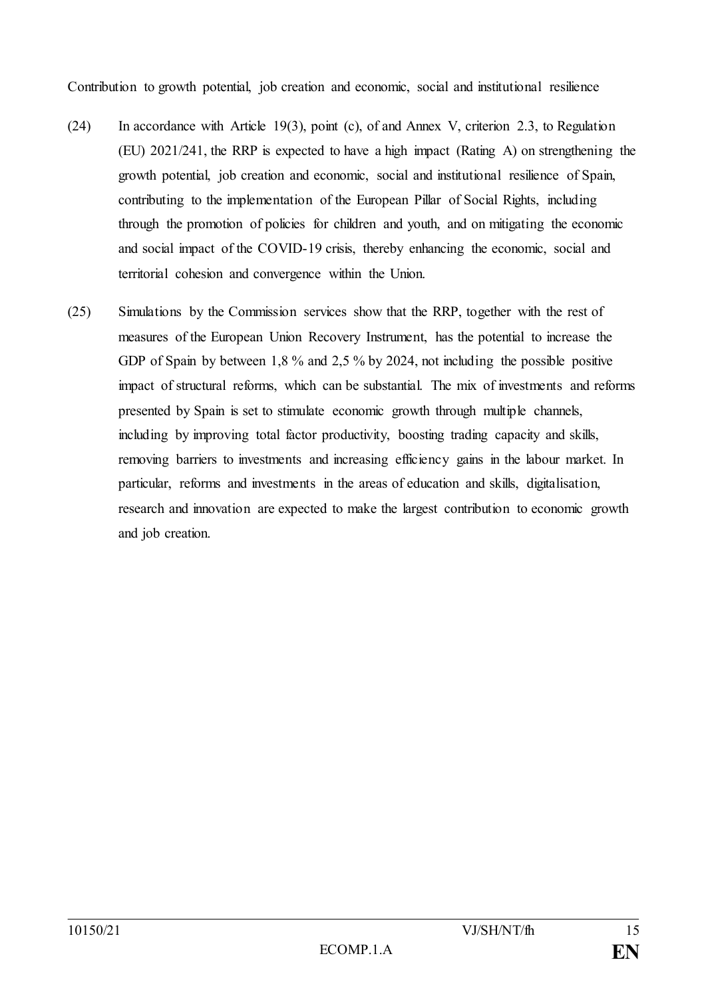Contribution to growth potential, job creation and economic, social and institutional resilience

- (24) In accordance with Article 19(3), point (c), of and Annex V, criterion 2.3, to Regulation (EU) 2021/241, the RRP is expected to have a high impact (Rating A) on strengthening the growth potential, job creation and economic, social and institutional resilience of Spain, contributing to the implementation of the European Pillar of Social Rights, including through the promotion of policies for children and youth, and on mitigating the economic and social impact of the COVID-19 crisis, thereby enhancing the economic, social and territorial cohesion and convergence within the Union.
- (25) Simulations by the Commission services show that the RRP, together with the rest of measures of the European Union Recovery Instrument, has the potential to increase the GDP of Spain by between 1,8 % and 2,5 % by 2024, not including the possible positive impact of structural reforms, which can be substantial. The mix of investments and reforms presented by Spain is set to stimulate economic growth through multiple channels, including by improving total factor productivity, boosting trading capacity and skills, removing barriers to investments and increasing efficiency gains in the labour market. In particular, reforms and investments in the areas of education and skills, digitalisation, research and innovation are expected to make the largest contribution to economic growth and job creation.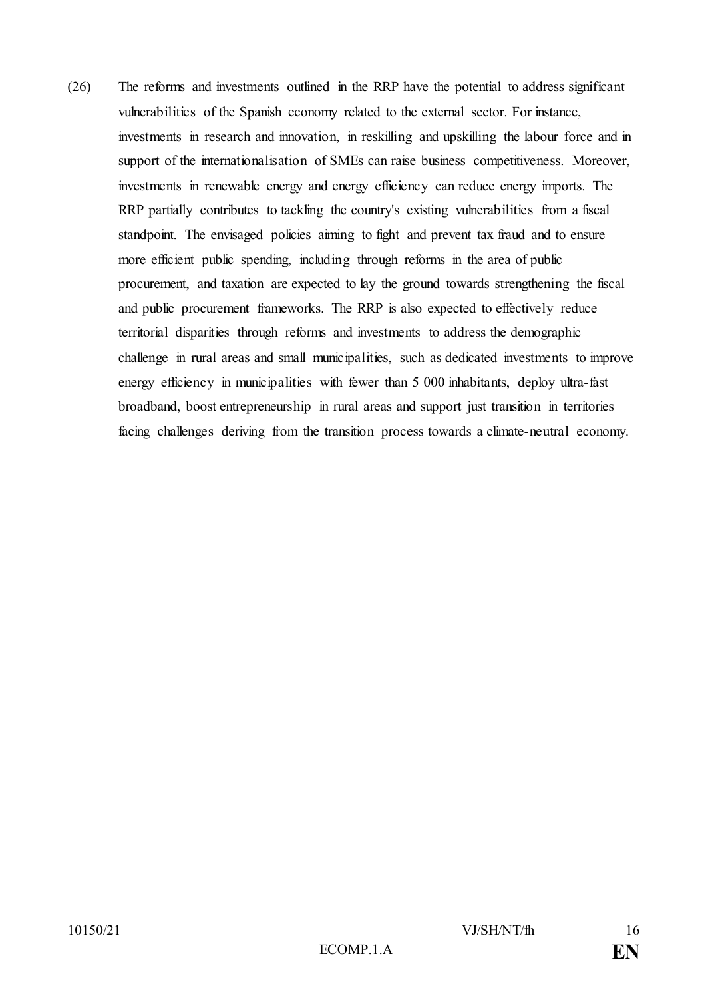(26) The reforms and investments outlined in the RRP have the potential to address significant vulnerabilities of the Spanish economy related to the external sector. For instance, investments in research and innovation, in reskilling and upskilling the labour force and in support of the internationalisation of SMEs can raise business competitiveness. Moreover, investments in renewable energy and energy efficiency can reduce energy imports. The RRP partially contributes to tackling the country's existing vulnerabilities from a fiscal standpoint. The envisaged policies aiming to fight and prevent tax fraud and to ensure more efficient public spending, including through reforms in the area of public procurement, and taxation are expected to lay the ground towards strengthening the fiscal and public procurement frameworks. The RRP is also expected to effectively reduce territorial disparities through reforms and investments to address the demographic challenge in rural areas and small municipalities, such as dedicated investments to improve energy efficiency in municipalities with fewer than 5 000 inhabitants, deploy ultra-fast broadband, boost entrepreneurship in rural areas and support just transition in territories facing challenges deriving from the transition process towards a climate-neutral economy.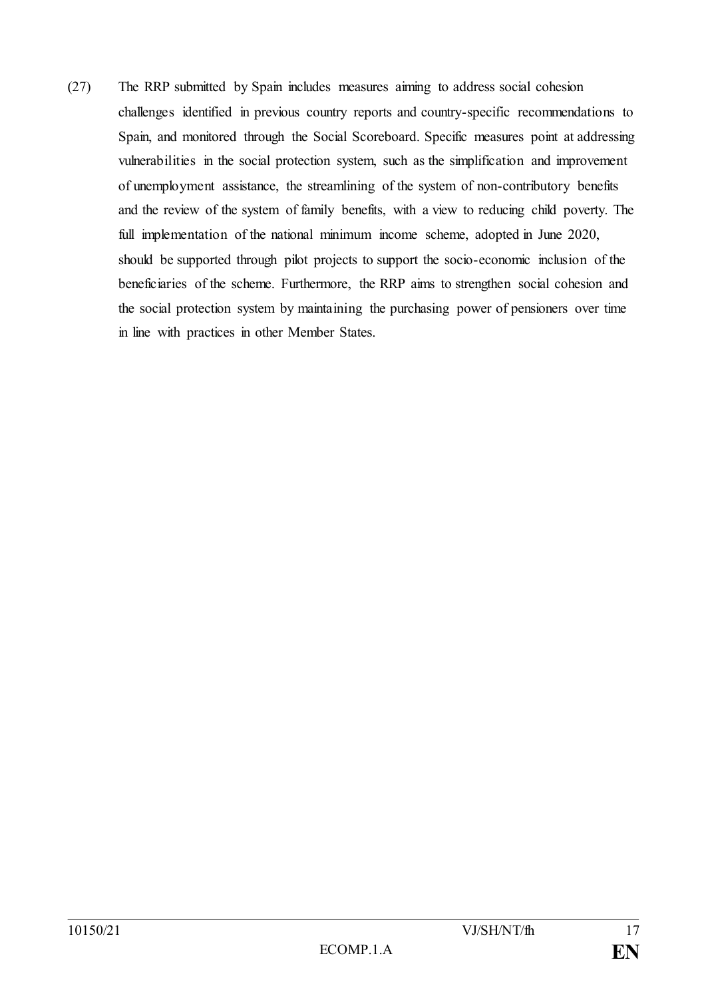(27) The RRP submitted by Spain includes measures aiming to address social cohesion challenges identified in previous country reports and country-specific recommendations to Spain, and monitored through the Social Scoreboard. Specific measures point at addressing vulnerabilities in the social protection system, such as the simplification and improvement of unemployment assistance, the streamlining of the system of non-contributory benefits and the review of the system of family benefits, with a view to reducing child poverty. The full implementation of the national minimum income scheme, adopted in June 2020, should be supported through pilot projects to support the socio-economic inclusion of the beneficiaries of the scheme. Furthermore, the RRP aims to strengthen social cohesion and the social protection system by maintaining the purchasing power of pensioners over time in line with practices in other Member States.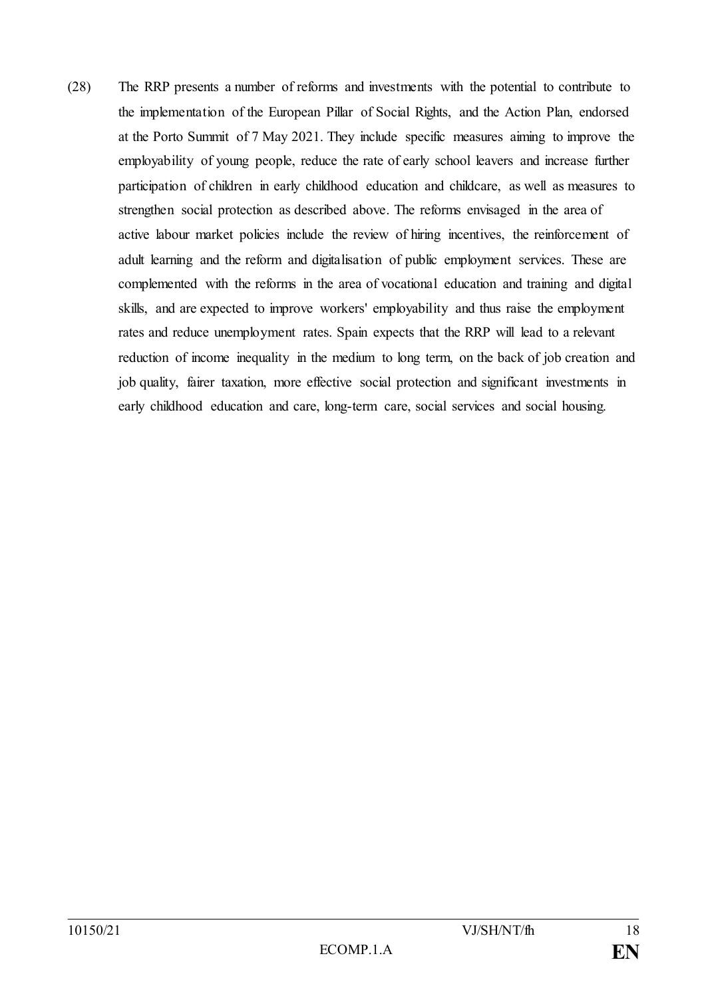(28) The RRP presents a number of reforms and investments with the potential to contribute to the implementation of the European Pillar of Social Rights, and the Action Plan, endorsed at the Porto Summit of 7 May 2021. They include specific measures aiming to improve the employability of young people, reduce the rate of early school leavers and increase further participation of children in early childhood education and childcare, as well as measures to strengthen social protection as described above. The reforms envisaged in the area of active labour market policies include the review of hiring incentives, the reinforcement of adult learning and the reform and digitalisation of public employment services. These are complemented with the reforms in the area of vocational education and training and digital skills, and are expected to improve workers' employability and thus raise the employment rates and reduce unemployment rates. Spain expects that the RRP will lead to a relevant reduction of income inequality in the medium to long term, on the back of job creation and job quality, fairer taxation, more effective social protection and significant investments in early childhood education and care, long-term care, social services and social housing.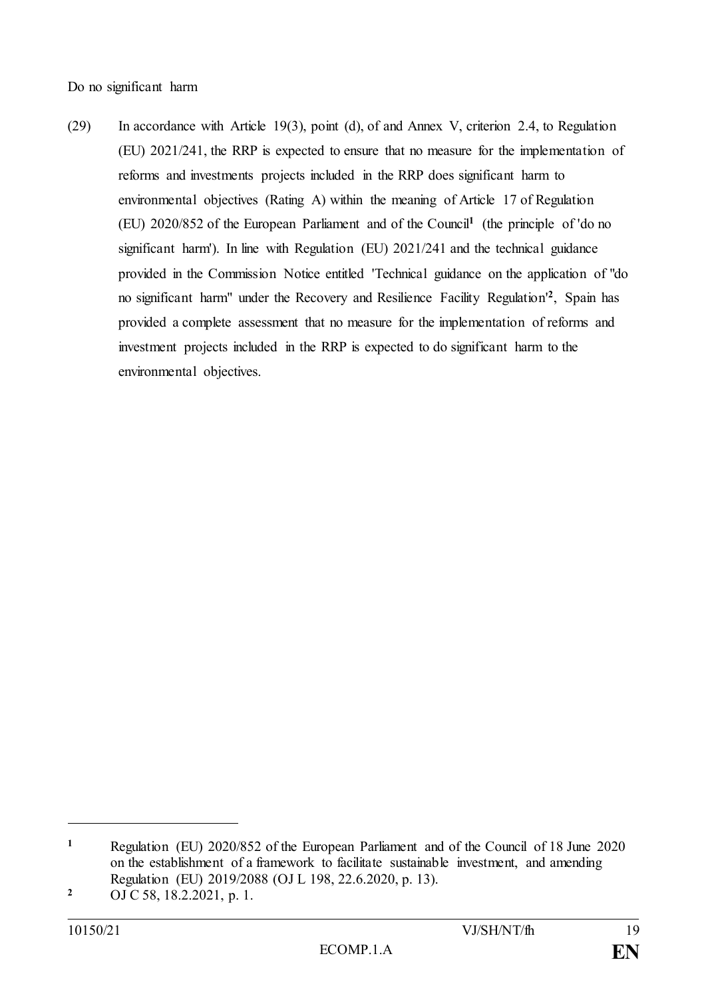Do no significant harm

(29) In accordance with Article 19(3), point (d), of and Annex V, criterion 2.4, to Regulation (EU) 2021/241, the RRP is expected to ensure that no measure for the implementation of reforms and investments projects included in the RRP does significant harm to environmental objectives (Rating A) within the meaning of Article 17 of Regulation (EU) 2020/852 of the European Parliament and of the Council**<sup>1</sup>** (the principle of 'do no significant harm'). In line with Regulation (EU) 2021/241 and the technical guidance provided in the Commission Notice entitled 'Technical guidance on the application of "do no significant harm" under the Recovery and Resilience Facility Regulation' **2** , Spain has provided a complete assessment that no measure for the implementation of reforms and investment projects included in the RRP is expected to do significant harm to the environmental objectives.

**<sup>1</sup>** Regulation (EU) 2020/852 of the European Parliament and of the Council of 18 June 2020 on the establishment of a framework to facilitate sustainable investment, and amending Regulation (EU) 2019/2088 (OJ L 198, 22.6.2020, p. 13).

**<sup>2</sup>** OJ C 58, 18.2.2021, p. 1.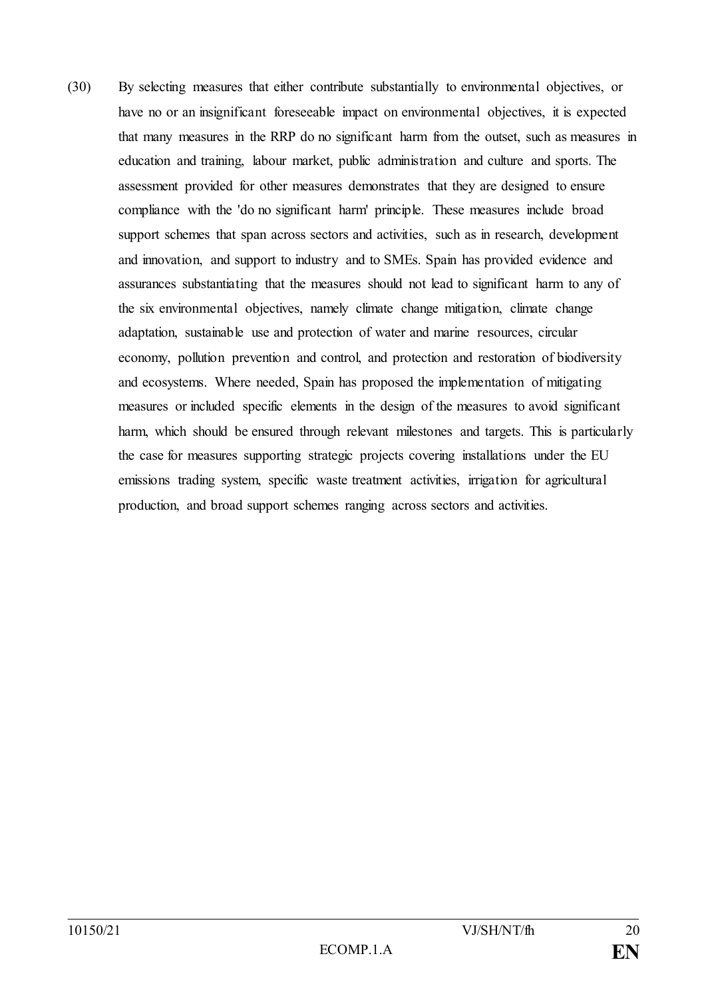(30) By selecting measures that either contribute substantially to environmental objectives, or have no or an insignificant foreseeable impact on environmental objectives, it is expected that many measures in the RRP do no significant harm from the outset, such as measures in education and training, labour market, public administration and culture and sports. The assessment provided for other measures demonstrates that they are designed to ensure compliance with the 'do no significant harm' principle. These measures include broad support schemes that span across sectors and activities, such as in research, development and innovation, and support to industry and to SMEs. Spain has provided evidence and assurances substantiating that the measures should not lead to significant harm to any of the six environmental objectives, namely climate change mitigation, climate change adaptation, sustainable use and protection of water and marine resources, circular economy, pollution prevention and control, and protection and restoration of biodiversity and ecosystems. Where needed, Spain has proposed the implementation of mitigating measures or included specific elements in the design of the measures to avoid significant harm, which should be ensured through relevant milestones and targets. This is particularly the case for measures supporting strategic projects covering installations under the EU emissions trading system, specific waste treatment activities, irrigation for agricultural production, and broad support schemes ranging across sectors and activities.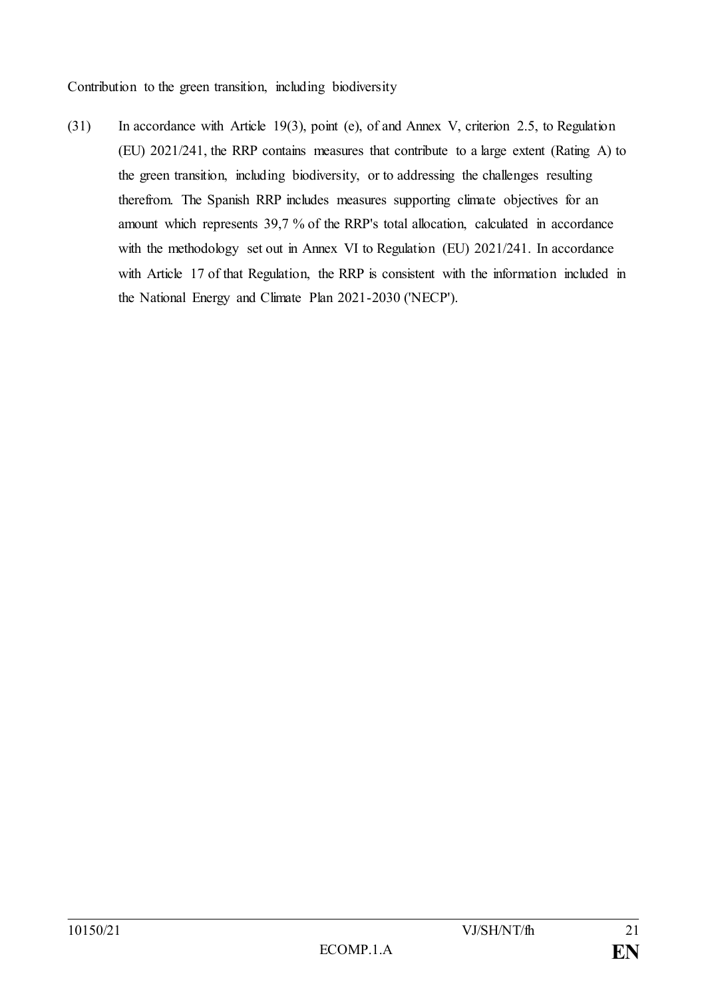Contribution to the green transition, including biodiversity

(31) In accordance with Article 19(3), point (e), of and Annex V, criterion 2.5, to Regulation (EU) 2021/241, the RRP contains measures that contribute to a large extent (Rating A) to the green transition, including biodiversity, or to addressing the challenges resulting therefrom. The Spanish RRP includes measures supporting climate objectives for an amount which represents 39,7 % of the RRP's total allocation, calculated in accordance with the methodology set out in Annex VI to Regulation (EU) 2021/241. In accordance with Article 17 of that Regulation, the RRP is consistent with the information included in the National Energy and Climate Plan 2021-2030 ('NECP').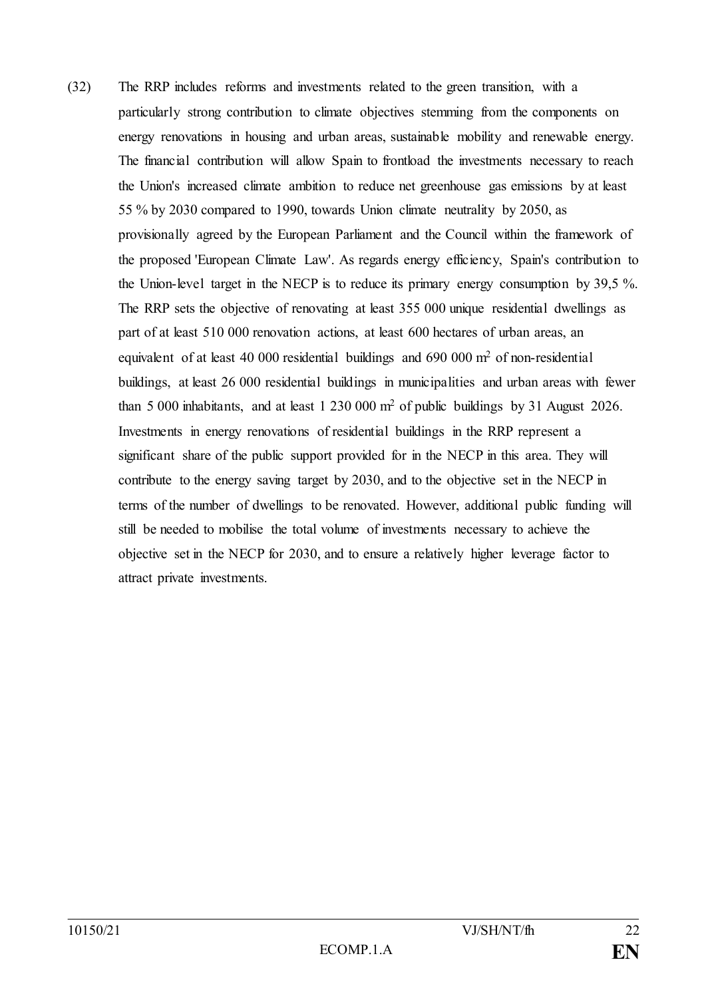(32) The RRP includes reforms and investments related to the green transition, with a particularly strong contribution to climate objectives stemming from the components on energy renovations in housing and urban areas, sustainable mobility and renewable energy. The financial contribution will allow Spain to frontload the investments necessary to reach the Union's increased climate ambition to reduce net greenhouse gas emissions by at least 55 % by 2030 compared to 1990, towards Union climate neutrality by 2050, as provisionally agreed by the European Parliament and the Council within the framework of the proposed 'European Climate Law'. As regards energy efficiency, Spain's contribution to the Union-level target in the NECP is to reduce its primary energy consumption by 39,5 %. The RRP sets the objective of renovating at least 355 000 unique residential dwellings as part of at least 510 000 renovation actions, at least 600 hectares of urban areas, an equivalent of at least 40 000 residential buildings and 690 000 m<sup>2</sup> of non-residential buildings, at least 26 000 residential buildings in municipalities and urban areas with fewer than 5 000 inhabitants, and at least 1 230 000 m<sup>2</sup> of public buildings by 31 August 2026. Investments in energy renovations of residential buildings in the RRP represent a significant share of the public support provided for in the NECP in this area. They will contribute to the energy saving target by 2030, and to the objective set in the NECP in terms of the number of dwellings to be renovated. However, additional public funding will still be needed to mobilise the total volume of investments necessary to achieve the objective set in the NECP for 2030, and to ensure a relatively higher leverage factor to attract private investments.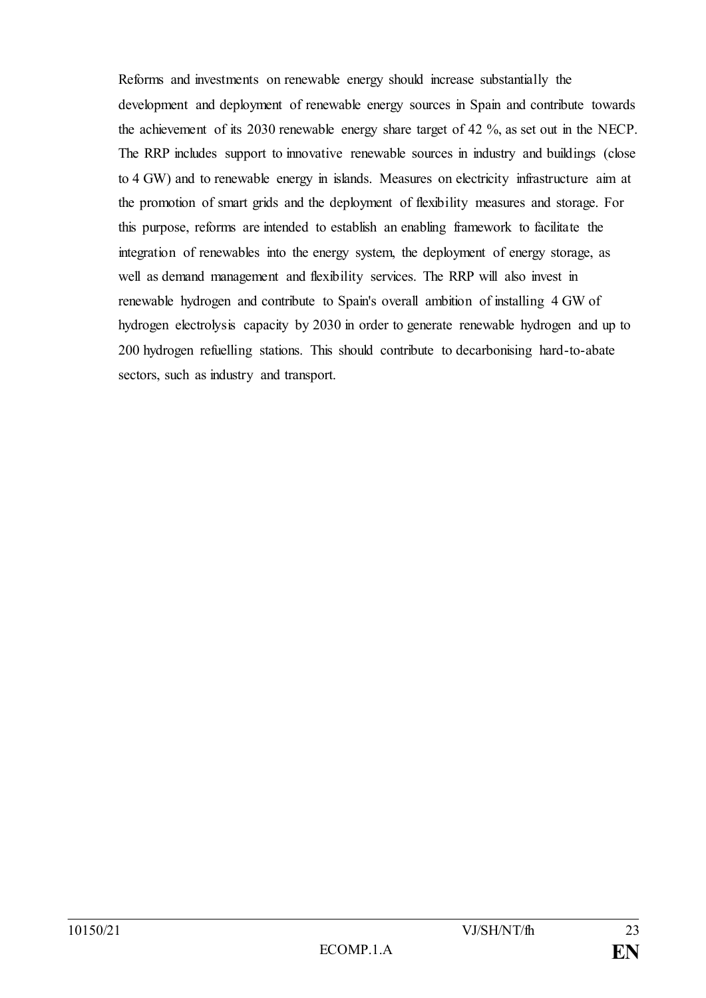Reforms and investments on renewable energy should increase substantially the development and deployment of renewable energy sources in Spain and contribute towards the achievement of its 2030 renewable energy share target of 42 %, as set out in the NECP. The RRP includes support to innovative renewable sources in industry and buildings (close to 4 GW) and to renewable energy in islands. Measures on electricity infrastructure aim at the promotion of smart grids and the deployment of flexibility measures and storage. For this purpose, reforms are intended to establish an enabling framework to facilitate the integration of renewables into the energy system, the deployment of energy storage, as well as demand management and flexibility services. The RRP will also invest in renewable hydrogen and contribute to Spain's overall ambition of installing 4 GW of hydrogen electrolysis capacity by 2030 in order to generate renewable hydrogen and up to 200 hydrogen refuelling stations. This should contribute to decarbonising hard-to-abate sectors, such as industry and transport.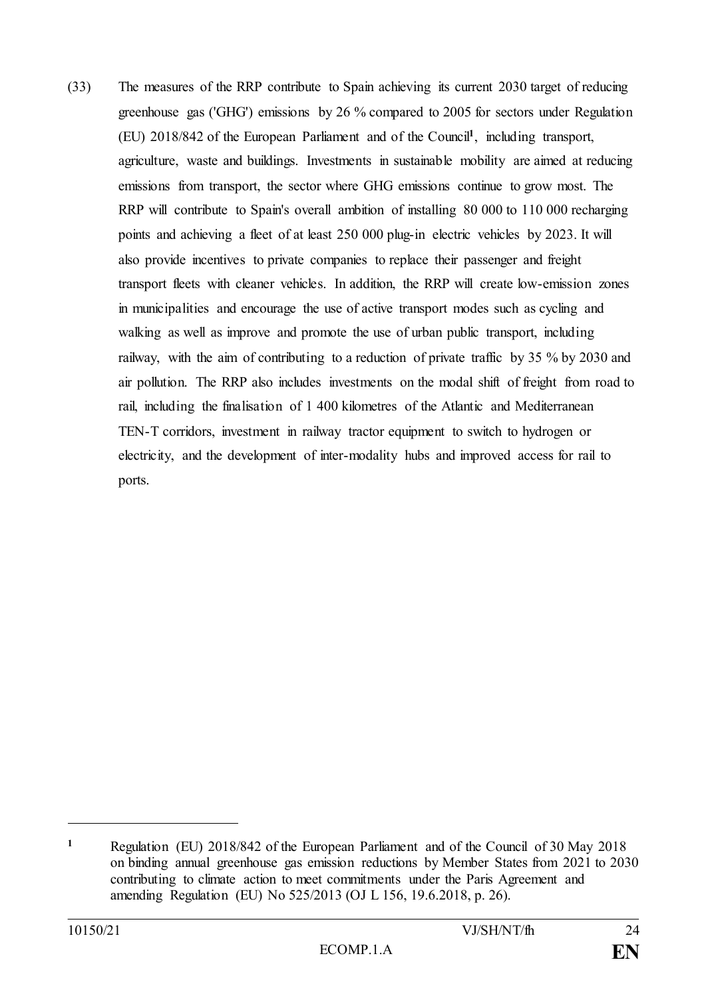(33) The measures of the RRP contribute to Spain achieving its current 2030 target of reducing greenhouse gas ('GHG') emissions by 26 % compared to 2005 for sectors under Regulation (EU) 2018/842 of the European Parliament and of the Council**<sup>1</sup>** , including transport, agriculture, waste and buildings. Investments in sustainable mobility are aimed at reducing emissions from transport, the sector where GHG emissions continue to grow most. The RRP will contribute to Spain's overall ambition of installing 80 000 to 110 000 recharging points and achieving a fleet of at least 250 000 plug-in electric vehicles by 2023. It will also provide incentives to private companies to replace their passenger and freight transport fleets with cleaner vehicles. In addition, the RRP will create low-emission zones in municipalities and encourage the use of active transport modes such as cycling and walking as well as improve and promote the use of urban public transport, including railway, with the aim of contributing to a reduction of private traffic by 35 % by 2030 and air pollution. The RRP also includes investments on the modal shift of freight from road to rail, including the finalisation of 1 400 kilometres of the Atlantic and Mediterranean TEN-T corridors, investment in railway tractor equipment to switch to hydrogen or electricity, and the development of inter-modality hubs and improved access for rail to ports.

**<sup>1</sup>** Regulation (EU) 2018/842 of the European Parliament and of the Council of 30 May 2018 on binding annual greenhouse gas emission reductions by Member States from 2021 to 2030 contributing to climate action to meet commitments under the Paris Agreement and amending Regulation (EU) No 525/2013 (OJ L 156, 19.6.2018, p. 26).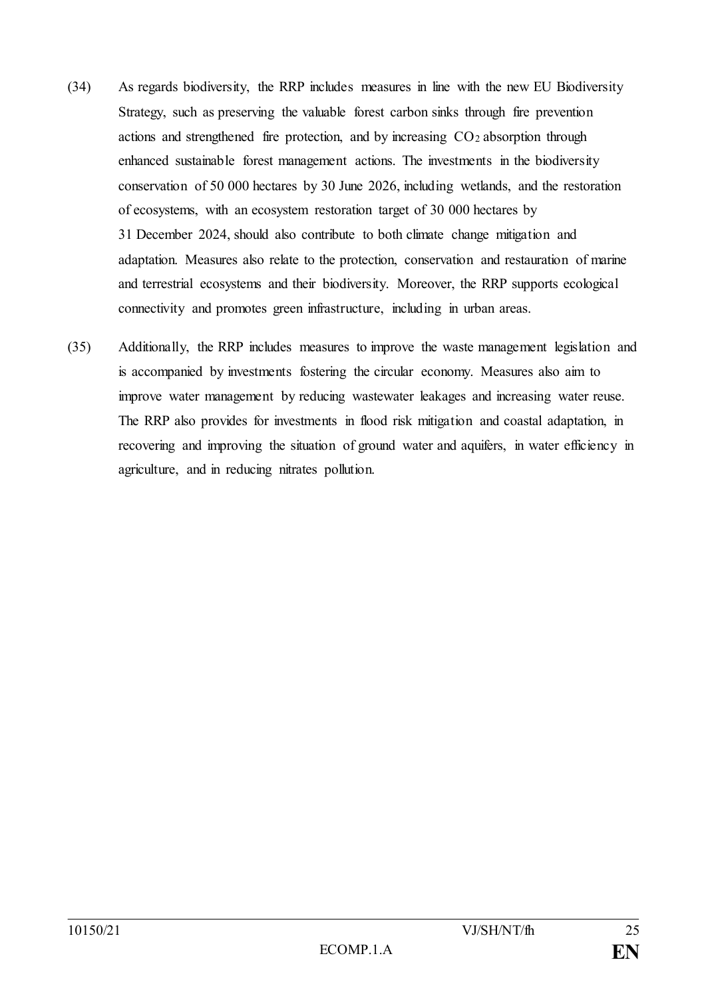- (34) As regards biodiversity, the RRP includes measures in line with the new EU Biodiversity Strategy, such as preserving the valuable forest carbon sinks through fire prevention actions and strengthened fire protection, and by increasing  $CO<sub>2</sub>$  absorption through enhanced sustainable forest management actions. The investments in the biodiversity conservation of 50 000 hectares by 30 June 2026, including wetlands, and the restoration of ecosystems, with an ecosystem restoration target of 30 000 hectares by 31 December 2024, should also contribute to both climate change mitigation and adaptation. Measures also relate to the protection, conservation and restauration of marine and terrestrial ecosystems and their biodiversity. Moreover, the RRP supports ecological connectivity and promotes green infrastructure, including in urban areas.
- (35) Additionally, the RRP includes measures to improve the waste management legislation and is accompanied by investments fostering the circular economy. Measures also aim to improve water management by reducing wastewater leakages and increasing water reuse. The RRP also provides for investments in flood risk mitigation and coastal adaptation, in recovering and improving the situation of ground water and aquifers, in water efficiency in agriculture, and in reducing nitrates pollution.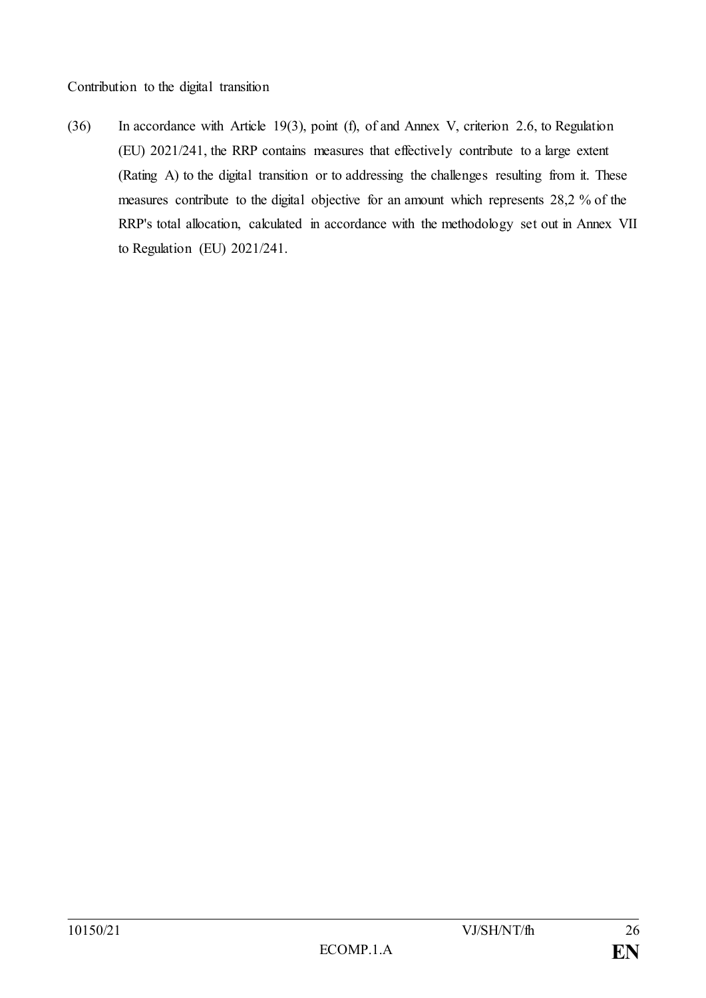Contribution to the digital transition

(36) In accordance with Article 19(3), point (f), of and Annex V, criterion 2.6, to Regulation (EU) 2021/241, the RRP contains measures that effectively contribute to a large extent (Rating A) to the digital transition or to addressing the challenges resulting from it. These measures contribute to the digital objective for an amount which represents 28,2 % of the RRP's total allocation, calculated in accordance with the methodology set out in Annex VII to Regulation (EU) 2021/241.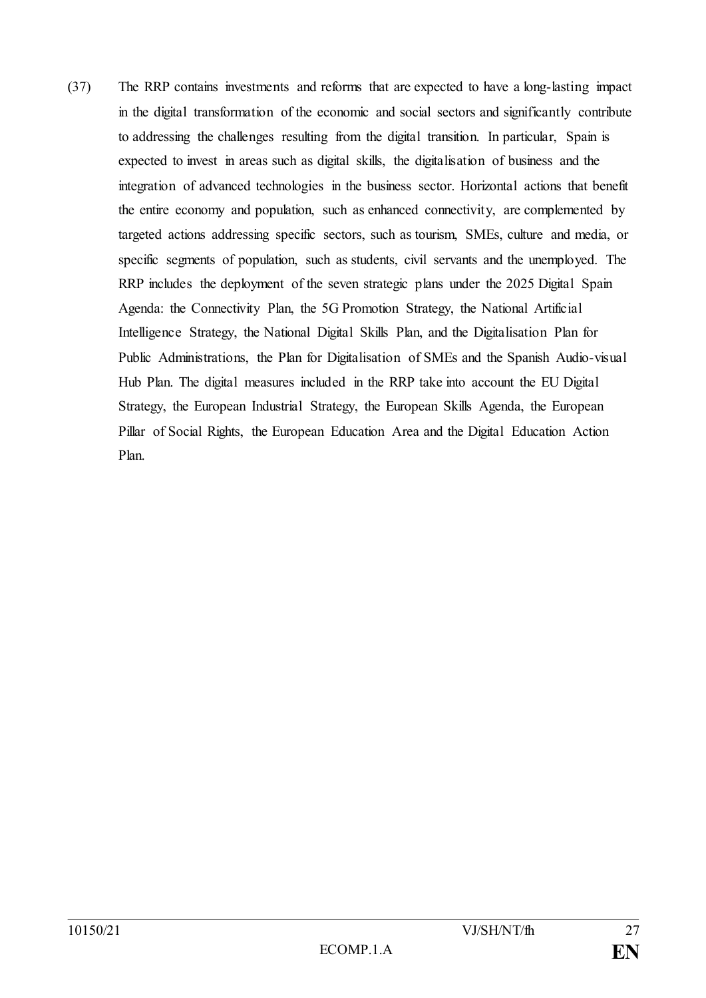(37) The RRP contains investments and reforms that are expected to have a long-lasting impact in the digital transformation of the economic and social sectors and significantly contribute to addressing the challenges resulting from the digital transition. In particular, Spain is expected to invest in areas such as digital skills, the digitalisation of business and the integration of advanced technologies in the business sector. Horizontal actions that benefit the entire economy and population, such as enhanced connectivity, are complemented by targeted actions addressing specific sectors, such as tourism, SMEs, culture and media, or specific segments of population, such as students, civil servants and the unemployed. The RRP includes the deployment of the seven strategic plans under the 2025 Digital Spain Agenda: the Connectivity Plan, the 5G Promotion Strategy, the National Artificial Intelligence Strategy, the National Digital Skills Plan, and the Digitalisation Plan for Public Administrations, the Plan for Digitalisation of SMEs and the Spanish Audio-visual Hub Plan. The digital measures included in the RRP take into account the EU Digital Strategy, the European Industrial Strategy, the European Skills Agenda, the European Pillar of Social Rights, the European Education Area and the Digital Education Action Plan.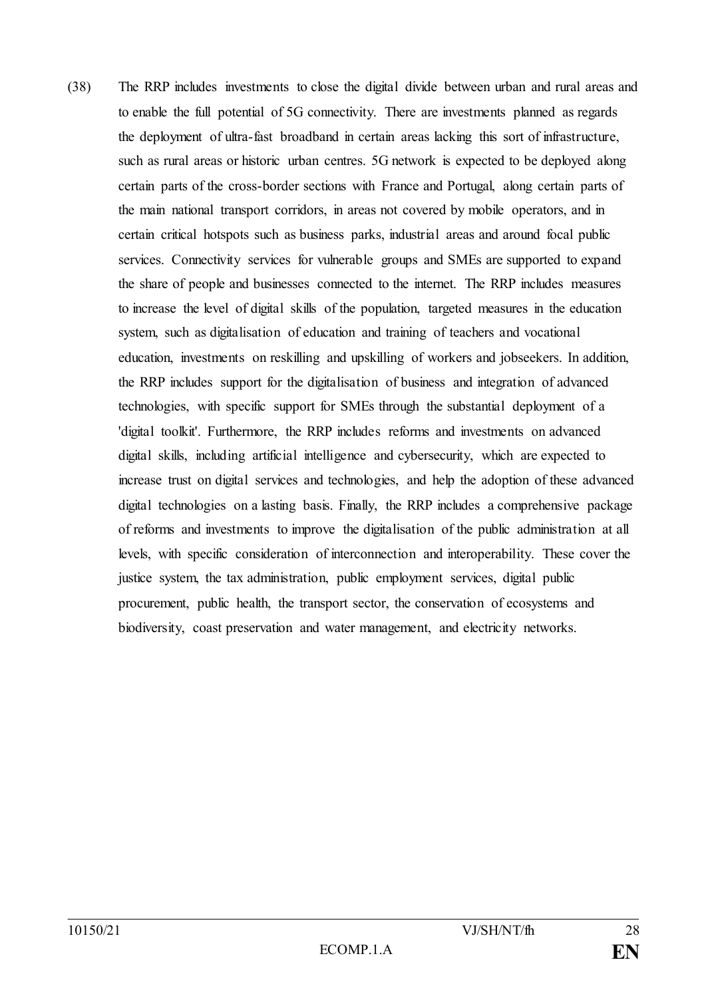(38) The RRP includes investments to close the digital divide between urban and rural areas and to enable the full potential of 5G connectivity. There are investments planned as regards the deployment of ultra-fast broadband in certain areas lacking this sort of infrastructure, such as rural areas or historic urban centres. 5G network is expected to be deployed along certain parts of the cross-border sections with France and Portugal, along certain parts of the main national transport corridors, in areas not covered by mobile operators, and in certain critical hotspots such as business parks, industrial areas and around focal public services. Connectivity services for vulnerable groups and SMEs are supported to expand the share of people and businesses connected to the internet. The RRP includes measures to increase the level of digital skills of the population, targeted measures in the education system, such as digitalisation of education and training of teachers and vocational education, investments on reskilling and upskilling of workers and jobseekers. In addition, the RRP includes support for the digitalisation of business and integration of advanced technologies, with specific support for SMEs through the substantial deployment of a 'digital toolkit'. Furthermore, the RRP includes reforms and investments on advanced digital skills, including artificial intelligence and cybersecurity, which are expected to increase trust on digital services and technologies, and help the adoption of these advanced digital technologies on a lasting basis. Finally, the RRP includes a comprehensive package of reforms and investments to improve the digitalisation of the public administration at all levels, with specific consideration of interconnection and interoperability. These cover the justice system, the tax administration, public employment services, digital public procurement, public health, the transport sector, the conservation of ecosystems and biodiversity, coast preservation and water management, and electricity networks.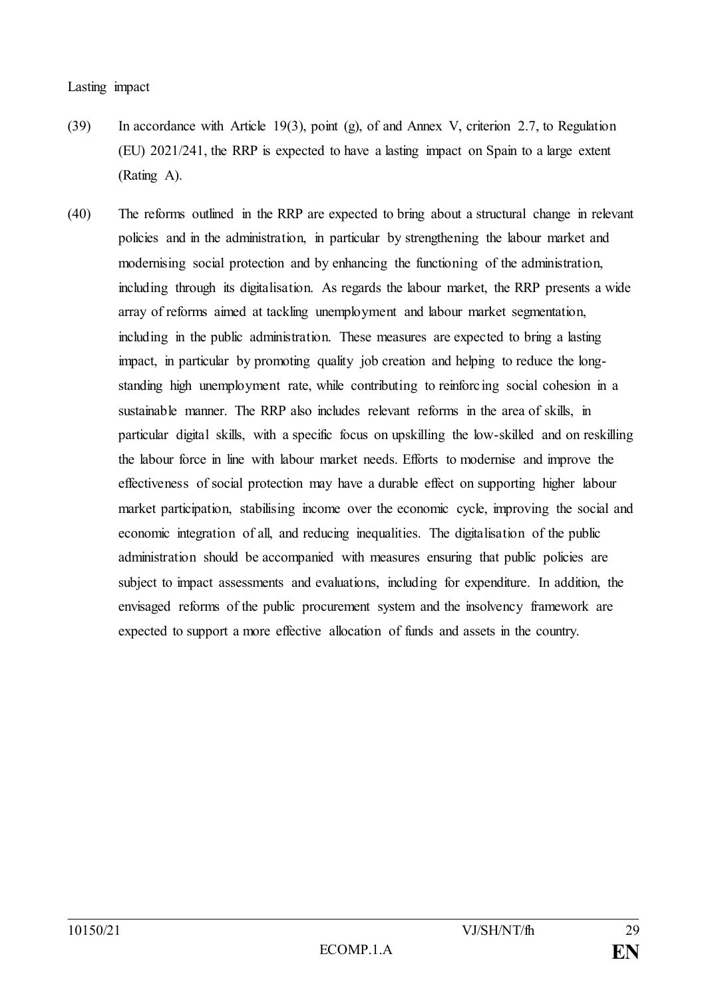- (39) In accordance with Article 19(3), point (g), of and Annex V, criterion 2.7, to Regulation (EU) 2021/241, the RRP is expected to have a lasting impact on Spain to a large extent (Rating A).
- (40) The reforms outlined in the RRP are expected to bring about a structural change in relevant policies and in the administration, in particular by strengthening the labour market and modernising social protection and by enhancing the functioning of the administration, including through its digitalisation. As regards the labour market, the RRP presents a wide array of reforms aimed at tackling unemployment and labour market segmentation, including in the public administration. These measures are expected to bring a lasting impact, in particular by promoting quality job creation and helping to reduce the longstanding high unemployment rate, while contributing to reinforcing social cohesion in a sustainable manner. The RRP also includes relevant reforms in the area of skills, in particular digital skills, with a specific focus on upskilling the low-skilled and on reskilling the labour force in line with labour market needs. Efforts to modernise and improve the effectiveness of social protection may have a durable effect on supporting higher labour market participation, stabilising income over the economic cycle, improving the social and economic integration of all, and reducing inequalities. The digitalisation of the public administration should be accompanied with measures ensuring that public policies are subject to impact assessments and evaluations, including for expenditure. In addition, the envisaged reforms of the public procurement system and the insolvency framework are expected to support a more effective allocation of funds and assets in the country.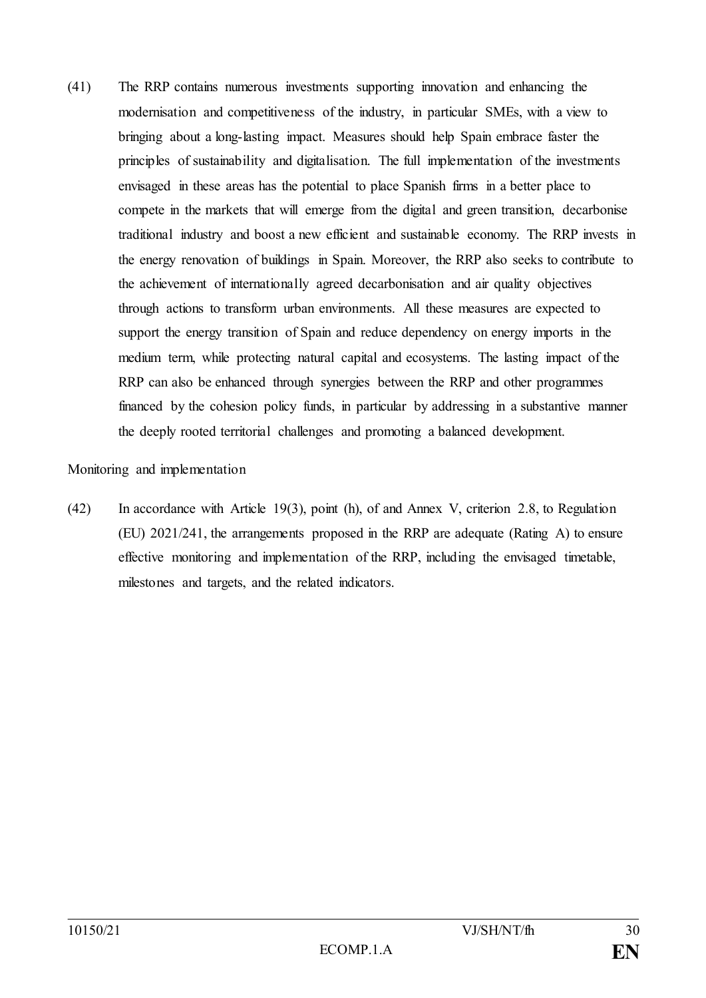(41) The RRP contains numerous investments supporting innovation and enhancing the modernisation and competitiveness of the industry, in particular SMEs, with a view to bringing about a long-lasting impact. Measures should help Spain embrace faster the principles of sustainability and digitalisation. The full implementation of the investments envisaged in these areas has the potential to place Spanish firms in a better place to compete in the markets that will emerge from the digital and green transition, decarbonise traditional industry and boost a new efficient and sustainable economy. The RRP invests in the energy renovation of buildings in Spain. Moreover, the RRP also seeks to contribute to the achievement of internationally agreed decarbonisation and air quality objectives through actions to transform urban environments. All these measures are expected to support the energy transition of Spain and reduce dependency on energy imports in the medium term, while protecting natural capital and ecosystems. The lasting impact of the RRP can also be enhanced through synergies between the RRP and other programmes financed by the cohesion policy funds, in particular by addressing in a substantive manner the deeply rooted territorial challenges and promoting a balanced development.

#### Monitoring and implementation

(42) In accordance with Article 19(3), point (h), of and Annex V, criterion 2.8, to Regulation (EU) 2021/241, the arrangements proposed in the RRP are adequate (Rating A) to ensure effective monitoring and implementation of the RRP, including the envisaged timetable, milestones and targets, and the related indicators.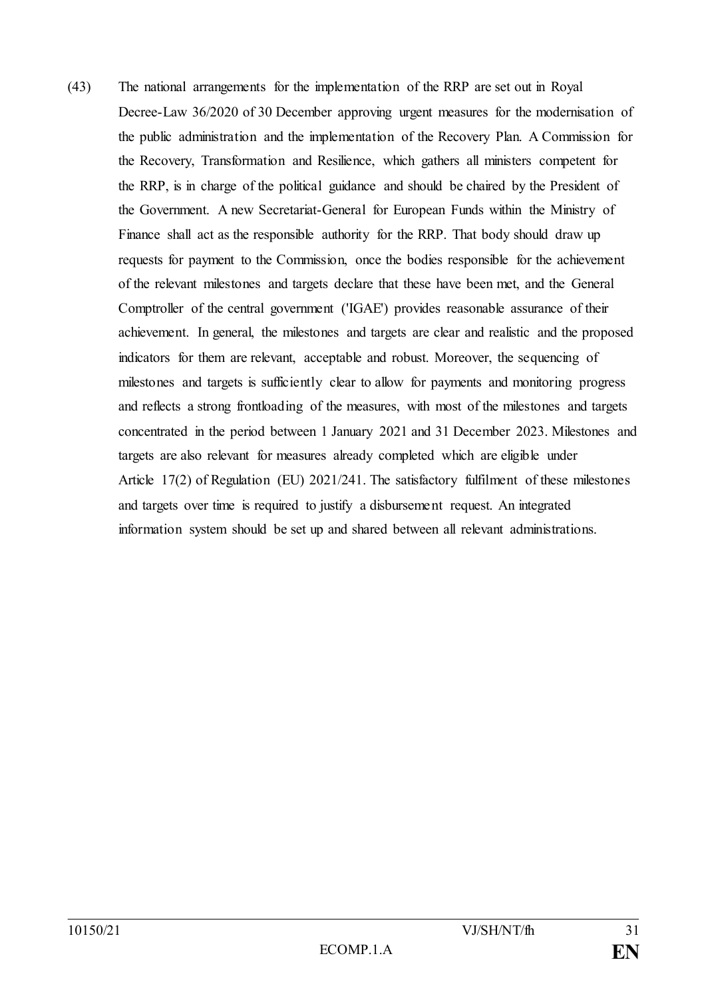(43) The national arrangements for the implementation of the RRP are set out in Royal Decree-Law 36/2020 of 30 December approving urgent measures for the modernisation of the public administration and the implementation of the Recovery Plan. A Commission for the Recovery, Transformation and Resilience, which gathers all ministers competent for the RRP, is in charge of the political guidance and should be chaired by the President of the Government. A new Secretariat-General for European Funds within the Ministry of Finance shall act as the responsible authority for the RRP. That body should draw up requests for payment to the Commission, once the bodies responsible for the achievement of the relevant milestones and targets declare that these have been met, and the General Comptroller of the central government ('IGAE') provides reasonable assurance of their achievement. In general, the milestones and targets are clear and realistic and the proposed indicators for them are relevant, acceptable and robust. Moreover, the sequencing of milestones and targets is sufficiently clear to allow for payments and monitoring progress and reflects a strong frontloading of the measures, with most of the milestones and targets concentrated in the period between 1 January 2021 and 31 December 2023. Milestones and targets are also relevant for measures already completed which are eligible under Article 17(2) of Regulation (EU) 2021/241. The satisfactory fulfilment of these milestones and targets over time is required to justify a disbursement request. An integrated information system should be set up and shared between all relevant administrations.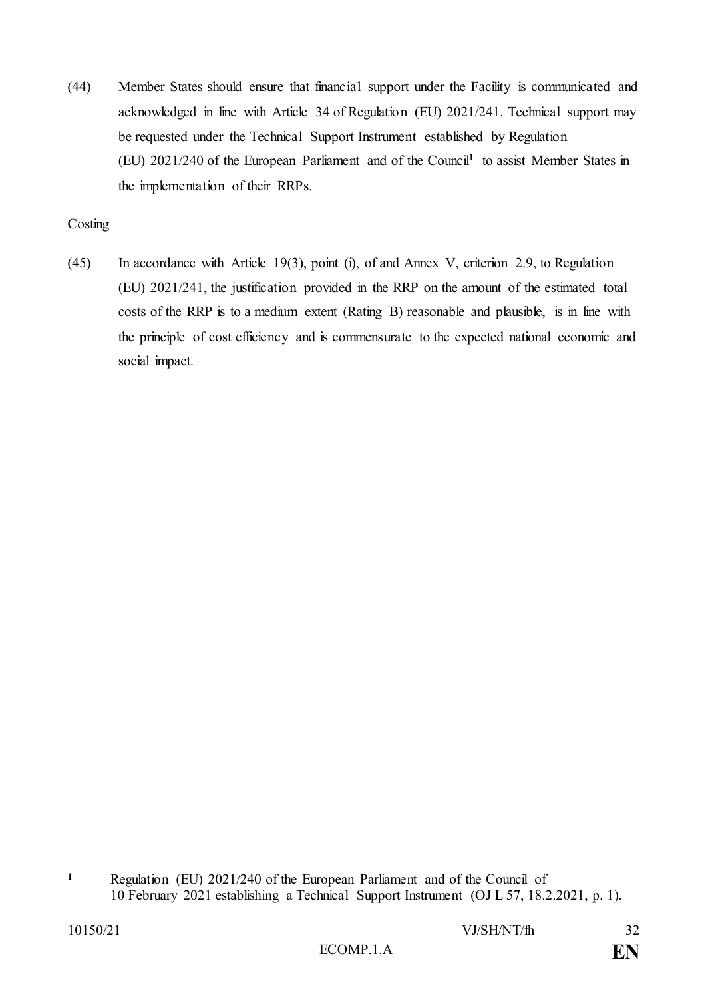(44) Member States should ensure that financial support under the Facility is communicated and acknowledged in line with Article 34 of Regulation (EU) 2021/241. Technical support may be requested under the Technical Support Instrument established by Regulation (EU) 2021/240 of the European Parliament and of the Council**<sup>1</sup>** to assist Member States in the implementation of their RRPs.

# Costing

(45) In accordance with Article 19(3), point (i), of and Annex V, criterion 2.9, to Regulation (EU) 2021/241, the justification provided in the RRP on the amount of the estimated total costs of the RRP is to a medium extent (Rating B) reasonable and plausible, is in line with the principle of cost efficiency and is commensurate to the expected national economic and social impact.

**<sup>1</sup>** Regulation (EU) 2021/240 of the European Parliament and of the Council of 10 February 2021 establishing a Technical Support Instrument (OJ L 57, 18.2.2021, p. 1).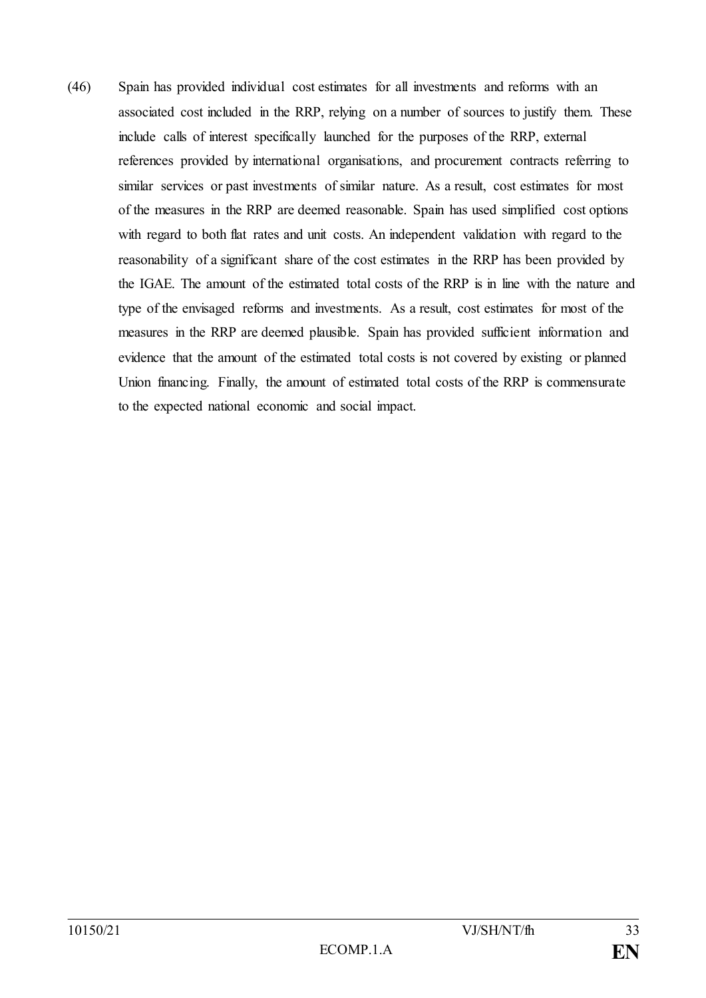(46) Spain has provided individual cost estimates for all investments and reforms with an associated cost included in the RRP, relying on a number of sources to justify them. These include calls of interest specifically launched for the purposes of the RRP, external references provided by international organisations, and procurement contracts referring to similar services or past investments of similar nature. As a result, cost estimates for most of the measures in the RRP are deemed reasonable. Spain has used simplified cost options with regard to both flat rates and unit costs. An independent validation with regard to the reasonability of a significant share of the cost estimates in the RRP has been provided by the IGAE. The amount of the estimated total costs of the RRP is in line with the nature and type of the envisaged reforms and investments. As a result, cost estimates for most of the measures in the RRP are deemed plausible. Spain has provided sufficient information and evidence that the amount of the estimated total costs is not covered by existing or planned Union financing. Finally, the amount of estimated total costs of the RRP is commensurate to the expected national economic and social impact.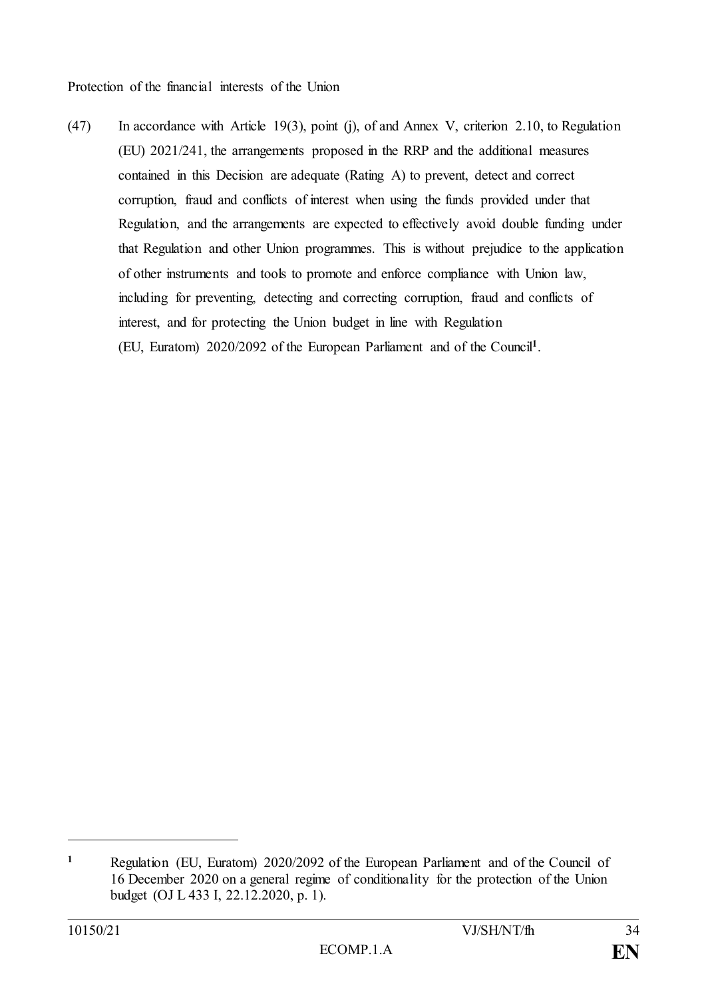Protection of the financial interests of the Union

(47) In accordance with Article 19(3), point (j), of and Annex V, criterion 2.10, to Regulation (EU) 2021/241, the arrangements proposed in the RRP and the additional measures contained in this Decision are adequate (Rating A) to prevent, detect and correct corruption, fraud and conflicts of interest when using the funds provided under that Regulation, and the arrangements are expected to effectively avoid double funding under that Regulation and other Union programmes. This is without prejudice to the application of other instruments and tools to promote and enforce compliance with Union law, including for preventing, detecting and correcting corruption, fraud and conflicts of interest, and for protecting the Union budget in line with Regulation (EU, Euratom) 2020/2092 of the European Parliament and of the Council**<sup>1</sup>** .

**<sup>1</sup>** Regulation (EU, Euratom) 2020/2092 of the European Parliament and of the Council of 16 December 2020 on a general regime of conditionality for the protection of the Union budget (OJ L 433 I, 22.12.2020, p. 1).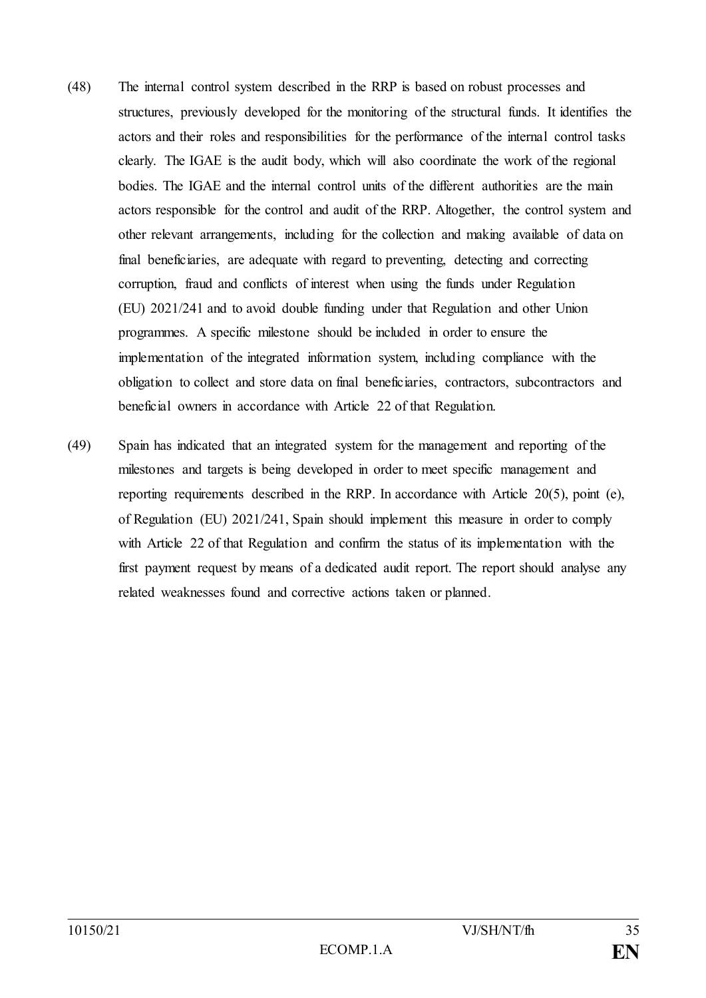- (48) The internal control system described in the RRP is based on robust processes and structures, previously developed for the monitoring of the structural funds. It identifies the actors and their roles and responsibilities for the performance of the internal control tasks clearly. The IGAE is the audit body, which will also coordinate the work of the regional bodies. The IGAE and the internal control units of the different authorities are the main actors responsible for the control and audit of the RRP. Altogether, the control system and other relevant arrangements, including for the collection and making available of data on final beneficiaries, are adequate with regard to preventing, detecting and correcting corruption, fraud and conflicts of interest when using the funds under Regulation (EU) 2021/241 and to avoid double funding under that Regulation and other Union programmes. A specific milestone should be included in order to ensure the implementation of the integrated information system, including compliance with the obligation to collect and store data on final beneficiaries, contractors, subcontractors and beneficial owners in accordance with Article 22 of that Regulation.
- (49) Spain has indicated that an integrated system for the management and reporting of the milestones and targets is being developed in order to meet specific management and reporting requirements described in the RRP. In accordance with Article 20(5), point (e), of Regulation (EU) 2021/241, Spain should implement this measure in order to comply with Article 22 of that Regulation and confirm the status of its implementation with the first payment request by means of a dedicated audit report. The report should analyse any related weaknesses found and corrective actions taken or planned.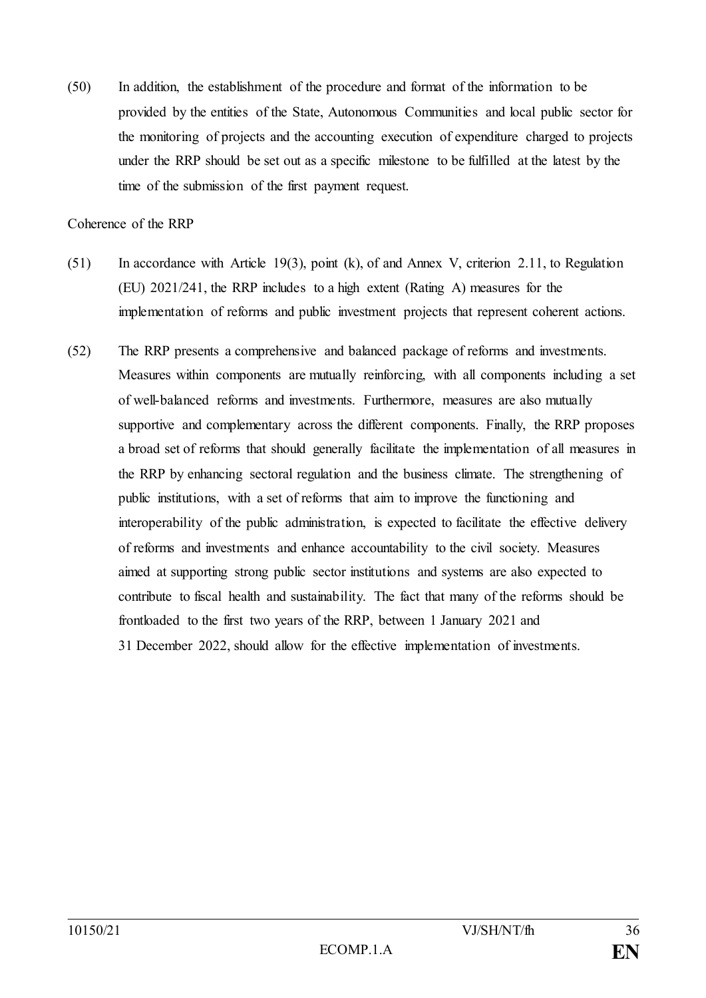(50) In addition, the establishment of the procedure and format of the information to be provided by the entities of the State, Autonomous Communities and local public sector for the monitoring of projects and the accounting execution of expenditure charged to projects under the RRP should be set out as a specific milestone to be fulfilled at the latest by the time of the submission of the first payment request.

Coherence of the RRP

- (51) In accordance with Article 19(3), point (k), of and Annex V, criterion 2.11, to Regulation (EU) 2021/241, the RRP includes to a high extent (Rating A) measures for the implementation of reforms and public investment projects that represent coherent actions.
- (52) The RRP presents a comprehensive and balanced package of reforms and investments. Measures within components are mutually reinforcing, with all components including a set of well-balanced reforms and investments. Furthermore, measures are also mutually supportive and complementary across the different components. Finally, the RRP proposes a broad set of reforms that should generally facilitate the implementation of all measures in the RRP by enhancing sectoral regulation and the business climate. The strengthening of public institutions, with a set of reforms that aim to improve the functioning and interoperability of the public administration, is expected to facilitate the effective delivery of reforms and investments and enhance accountability to the civil society. Measures aimed at supporting strong public sector institutions and systems are also expected to contribute to fiscal health and sustainability. The fact that many of the reforms should be frontloaded to the first two years of the RRP, between 1 January 2021 and 31 December 2022, should allow for the effective implementation of investments.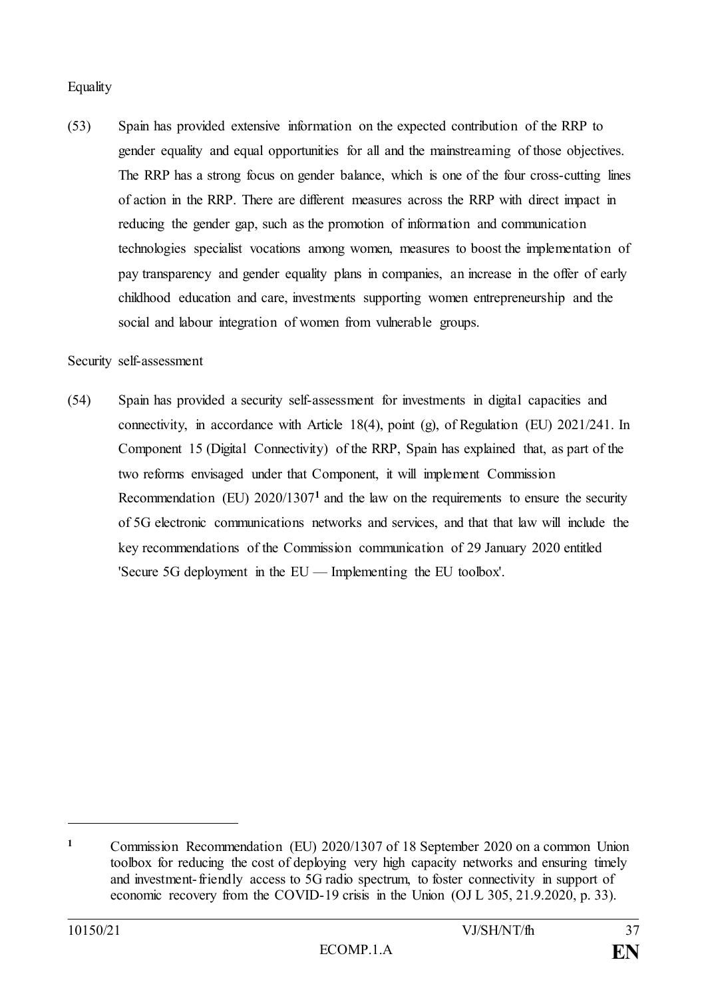#### **Equality**

(53) Spain has provided extensive information on the expected contribution of the RRP to gender equality and equal opportunities for all and the mainstreaming of those objectives. The RRP has a strong focus on gender balance, which is one of the four cross-cutting lines of action in the RRP. There are different measures across the RRP with direct impact in reducing the gender gap, such as the promotion of information and communication technologies specialist vocations among women, measures to boost the implementation of pay transparency and gender equality plans in companies, an increase in the offer of early childhood education and care, investments supporting women entrepreneurship and the social and labour integration of women from vulnerable groups.

#### Security self-assessment

(54) Spain has provided a security self-assessment for investments in digital capacities and connectivity, in accordance with Article 18(4), point (g), of Regulation (EU)  $2021/241$ . In Component 15 (Digital Connectivity) of the RRP, Spain has explained that, as part of the two reforms envisaged under that Component, it will implement Commission Recommendation (EU) 2020/1307**<sup>1</sup>** and the law on the requirements to ensure the security of 5G electronic communications networks and services, and that that law will include the key recommendations of the Commission communication of 29 January 2020 entitled 'Secure 5G deployment in the EU — Implementing the EU toolbox'.

**<sup>1</sup>** Commission Recommendation (EU) 2020/1307 of 18 September 2020 on a common Union toolbox for reducing the cost of deploying very high capacity networks and ensuring timely and investment-friendly access to 5G radio spectrum, to foster connectivity in support of economic recovery from the COVID-19 crisis in the Union (OJ L 305, 21.9.2020, p. 33).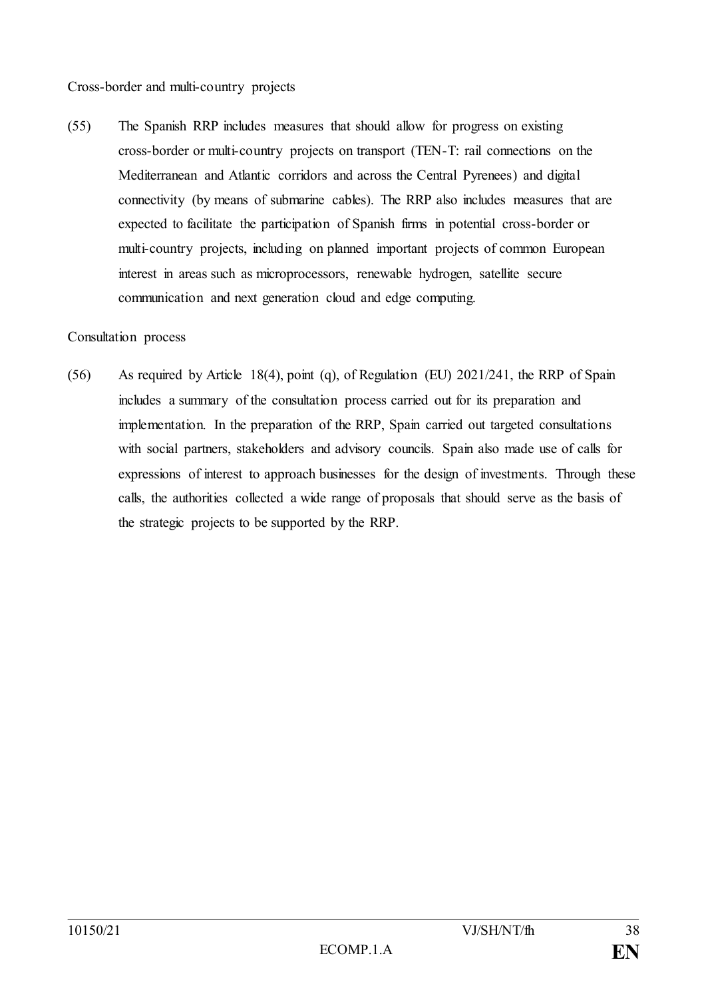Cross-border and multi-country projects

(55) The Spanish RRP includes measures that should allow for progress on existing cross-border or multi-country projects on transport (TEN-T: rail connections on the Mediterranean and Atlantic corridors and across the Central Pyrenees) and digital connectivity (by means of submarine cables). The RRP also includes measures that are expected to facilitate the participation of Spanish firms in potential cross-border or multi-country projects, including on planned important projects of common European interest in areas such as microprocessors, renewable hydrogen, satellite secure communication and next generation cloud and edge computing.

#### Consultation process

(56) As required by Article 18(4), point (q), of Regulation (EU) 2021/241, the RRP of Spain includes a summary of the consultation process carried out for its preparation and implementation. In the preparation of the RRP, Spain carried out targeted consultations with social partners, stakeholders and advisory councils. Spain also made use of calls for expressions of interest to approach businesses for the design of investments. Through these calls, the authorities collected a wide range of proposals that should serve as the basis of the strategic projects to be supported by the RRP.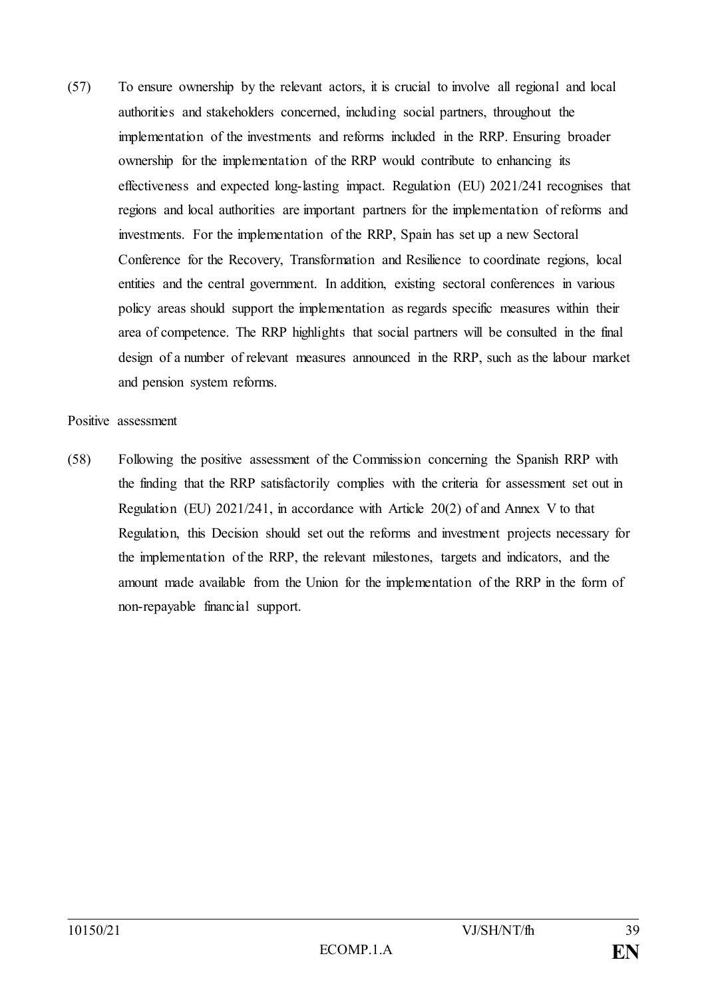(57) To ensure ownership by the relevant actors, it is crucial to involve all regional and local authorities and stakeholders concerned, including social partners, throughout the implementation of the investments and reforms included in the RRP. Ensuring broader ownership for the implementation of the RRP would contribute to enhancing its effectiveness and expected long-lasting impact. Regulation (EU) 2021/241 recognises that regions and local authorities are important partners for the implementation of reforms and investments. For the implementation of the RRP, Spain has set up a new Sectoral Conference for the Recovery, Transformation and Resilience to coordinate regions, local entities and the central government. In addition, existing sectoral conferences in various policy areas should support the implementation as regards specific measures within their area of competence. The RRP highlights that social partners will be consulted in the final design of a number of relevant measures announced in the RRP, such as the labour market and pension system reforms.

#### Positive assessment

(58) Following the positive assessment of the Commission concerning the Spanish RRP with the finding that the RRP satisfactorily complies with the criteria for assessment set out in Regulation (EU)  $2021/241$ , in accordance with Article  $20(2)$  of and Annex V to that Regulation, this Decision should set out the reforms and investment projects necessary for the implementation of the RRP, the relevant milestones, targets and indicators, and the amount made available from the Union for the implementation of the RRP in the form of non-repayable financial support.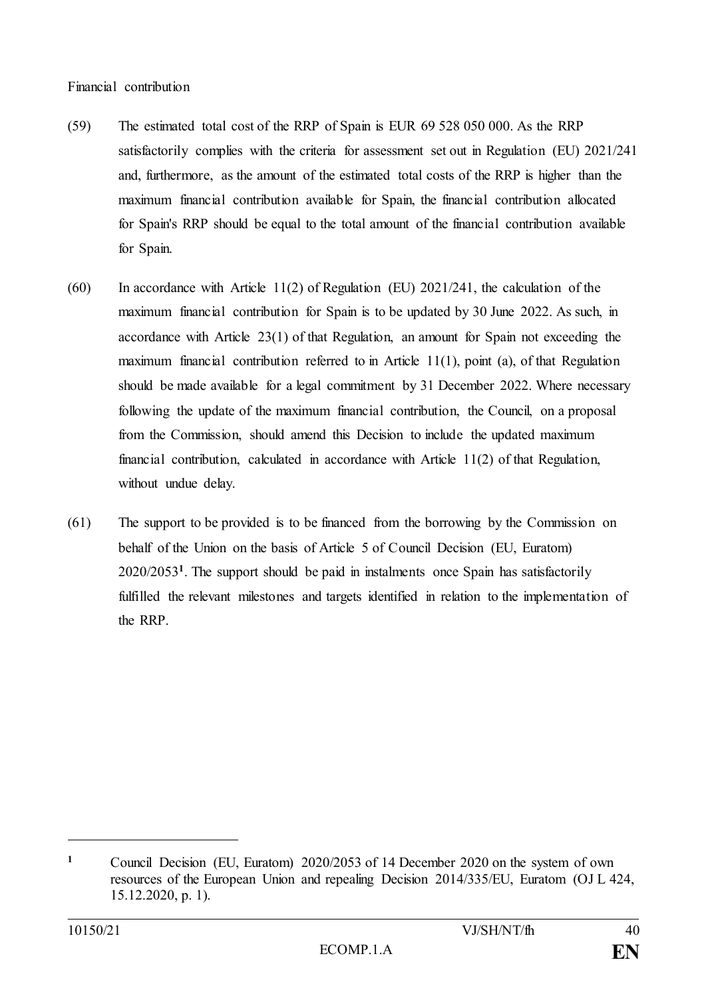#### Financial contribution

- (59) The estimated total cost of the RRP of Spain is EUR 69 528 050 000. As the RRP satisfactorily complies with the criteria for assessment set out in Regulation (EU) 2021/241 and, furthermore, as the amount of the estimated total costs of the RRP is higher than the maximum financial contribution available for Spain, the financial contribution allocated for Spain's RRP should be equal to the total amount of the financial contribution available for Spain.
- $(60)$  In accordance with Article 11(2) of Regulation (EU) 2021/241, the calculation of the maximum financial contribution for Spain is to be updated by 30 June 2022. As such, in accordance with Article 23(1) of that Regulation, an amount for Spain not exceeding the maximum financial contribution referred to in Article 11(1), point (a), of that Regulation should be made available for a legal commitment by 31 December 2022. Where necessary following the update of the maximum financial contribution, the Council, on a proposal from the Commission, should amend this Decision to include the updated maximum financial contribution, calculated in accordance with Article 11(2) of that Regulation, without undue delay.
- (61) The support to be provided is to be financed from the borrowing by the Commission on behalf of the Union on the basis of Article 5 of Council Decision (EU, Euratom) 2020/2053**<sup>1</sup>** . The support should be paid in instalments once Spain has satisfactorily fulfilled the relevant milestones and targets identified in relation to the implementation of the RRP.

**<sup>1</sup>** Council Decision (EU, Euratom) 2020/2053 of 14 December 2020 on the system of own resources of the European Union and repealing Decision 2014/335/EU, Euratom (OJ L 424, 15.12.2020, p. 1).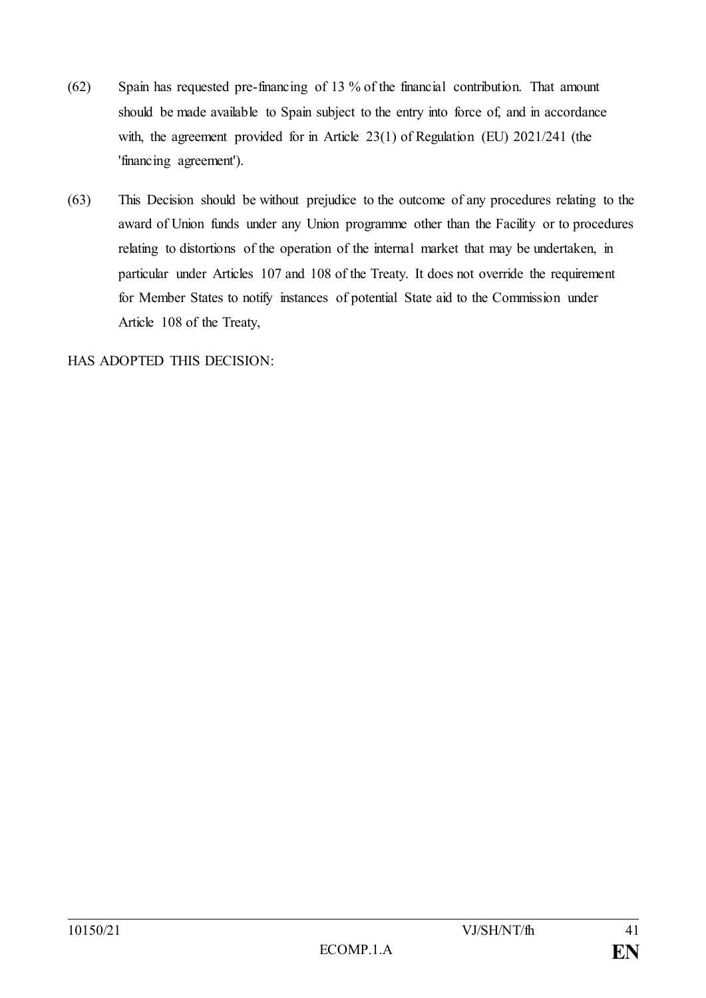- (62) Spain has requested pre-financing of 13 % of the financial contribution. That amount should be made available to Spain subject to the entry into force of, and in accordance with, the agreement provided for in Article 23(1) of Regulation (EU) 2021/241 (the 'financing agreement').
- (63) This Decision should be without prejudice to the outcome of any procedures relating to the award of Union funds under any Union programme other than the Facility or to procedures relating to distortions of the operation of the internal market that may be undertaken, in particular under Articles 107 and 108 of the Treaty. It does not override the requirement for Member States to notify instances of potential State aid to the Commission under Article 108 of the Treaty,

HAS ADOPTED THIS DECISION: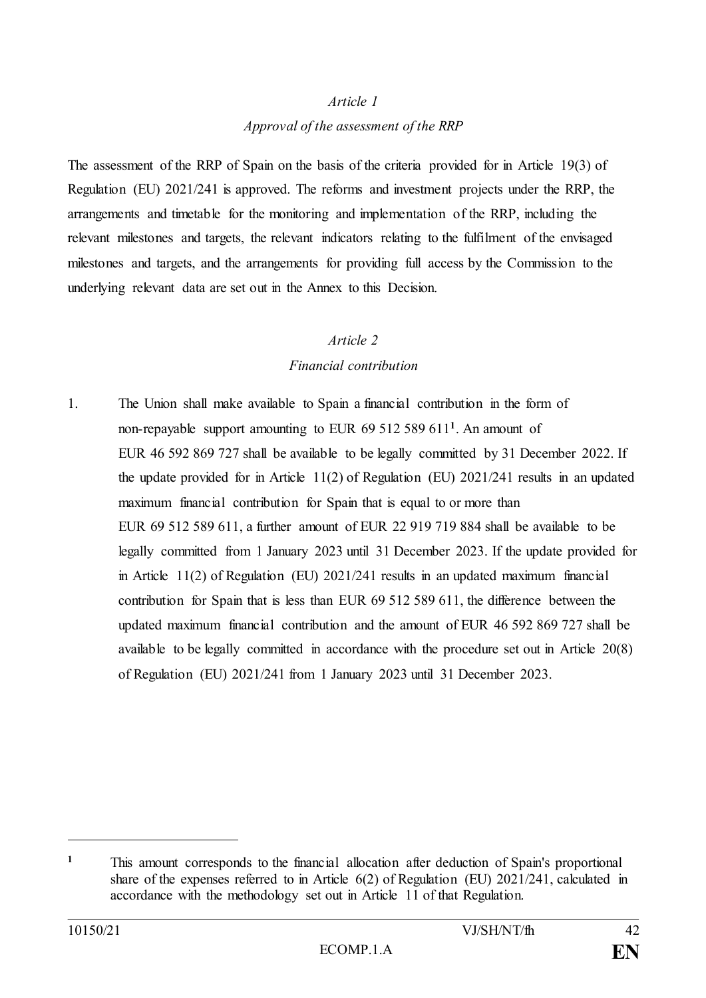#### *Article 1*

# *Approval of the assessment of the RRP*

The assessment of the RRP of Spain on the basis of the criteria provided for in Article 19(3) of Regulation (EU) 2021/241 is approved. The reforms and investment projects under the RRP, the arrangements and timetable for the monitoring and implementation of the RRP, including the relevant milestones and targets, the relevant indicators relating to the fulfilment of the envisaged milestones and targets, and the arrangements for providing full access by the Commission to the underlying relevant data are set out in the Annex to this Decision.

## *Article 2*

# *Financial contribution*

1. The Union shall make available to Spain a financial contribution in the form of non-repayable support amounting to EUR 69 512 589 611**<sup>1</sup>** . An amount of EUR 46 592 869 727 shall be available to be legally committed by 31 December 2022. If the update provided for in Article 11(2) of Regulation (EU) 2021/241 results in an updated maximum financial contribution for Spain that is equal to or more than EUR 69 512 589 611, a further amount of EUR 22 919 719 884 shall be available to be legally committed from 1 January 2023 until 31 December 2023. If the update provided for in Article 11(2) of Regulation (EU) 2021/241 results in an updated maximum financial contribution for Spain that is less than EUR 69 512 589 611, the difference between the updated maximum financial contribution and the amount of EUR 46 592 869 727 shall be available to be legally committed in accordance with the procedure set out in Article 20(8) of Regulation (EU) 2021/241 from 1 January 2023 until 31 December 2023.

**<sup>1</sup>** This amount corresponds to the financial allocation after deduction of Spain's proportional share of the expenses referred to in Article 6(2) of Regulation (EU) 2021/241, calculated in accordance with the methodology set out in Article 11 of that Regulation.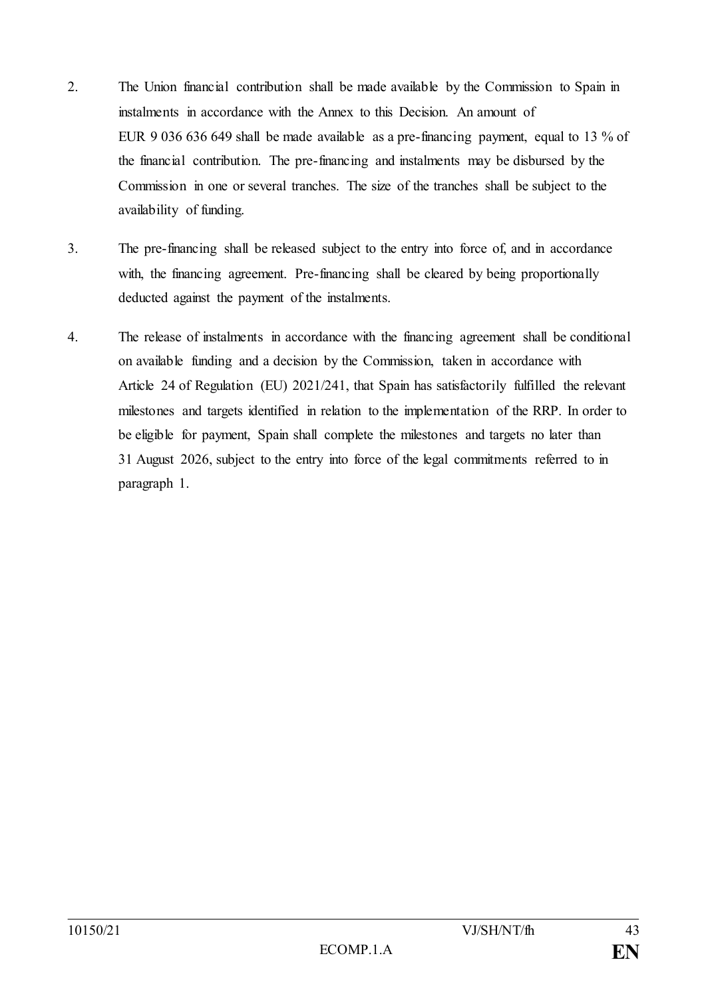- 2. The Union financial contribution shall be made available by the Commission to Spain in instalments in accordance with the Annex to this Decision. An amount of EUR 9 036 636 649 shall be made available as a pre-financing payment, equal to 13 % of the financial contribution. The pre-financing and instalments may be disbursed by the Commission in one or several tranches. The size of the tranches shall be subject to the availability of funding.
- 3. The pre-financing shall be released subject to the entry into force of, and in accordance with, the financing agreement. Pre-financing shall be cleared by being proportionally deducted against the payment of the instalments.
- 4. The release of instalments in accordance with the financing agreement shall be conditional on available funding and a decision by the Commission, taken in accordance with Article 24 of Regulation (EU) 2021/241, that Spain has satisfactorily fulfilled the relevant milestones and targets identified in relation to the implementation of the RRP. In order to be eligible for payment, Spain shall complete the milestones and targets no later than 31 August 2026, subject to the entry into force of the legal commitments referred to in paragraph 1.